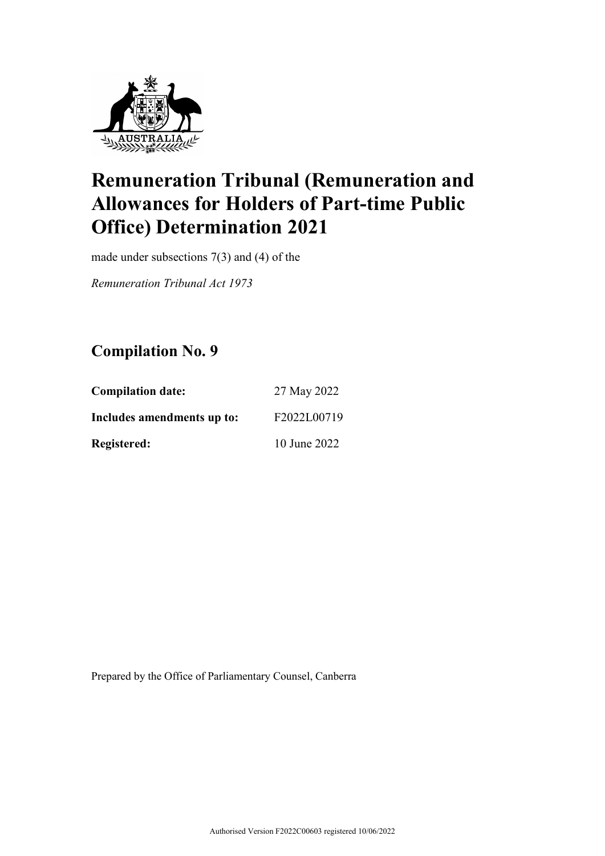

made under subsections 7(3) and (4) of the

*Remuneration Tribunal Act 1973*

## **Compilation No. 9**

| <b>Compilation date:</b>   | 27 May 2022  |
|----------------------------|--------------|
| Includes amendments up to: | F2022L00719  |
| <b>Registered:</b>         | 10 June 2022 |

Prepared by the Office of Parliamentary Counsel, Canberra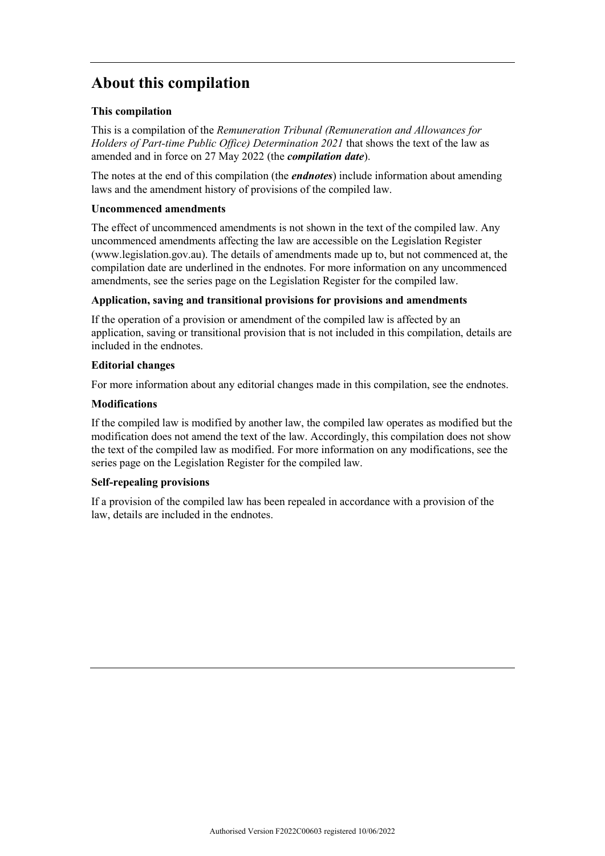## **About this compilation**

#### **This compilation**

This is a compilation of the *Remuneration Tribunal (Remuneration and Allowances for Holders of Part-time Public Office) Determination 2021* that shows the text of the law as amended and in force on 27 May 2022 (the *compilation date*).

The notes at the end of this compilation (the *endnotes*) include information about amending laws and the amendment history of provisions of the compiled law.

#### **Uncommenced amendments**

The effect of uncommenced amendments is not shown in the text of the compiled law. Any uncommenced amendments affecting the law are accessible on the Legislation Register (www.legislation.gov.au). The details of amendments made up to, but not commenced at, the compilation date are underlined in the endnotes. For more information on any uncommenced amendments, see the series page on the Legislation Register for the compiled law.

#### **Application, saving and transitional provisions for provisions and amendments**

If the operation of a provision or amendment of the compiled law is affected by an application, saving or transitional provision that is not included in this compilation, details are included in the endnotes.

#### **Editorial changes**

For more information about any editorial changes made in this compilation, see the endnotes.

#### **Modifications**

If the compiled law is modified by another law, the compiled law operates as modified but the modification does not amend the text of the law. Accordingly, this compilation does not show the text of the compiled law as modified. For more information on any modifications, see the series page on the Legislation Register for the compiled law.

#### **Self-repealing provisions**

If a provision of the compiled law has been repealed in accordance with a provision of the law, details are included in the endnotes.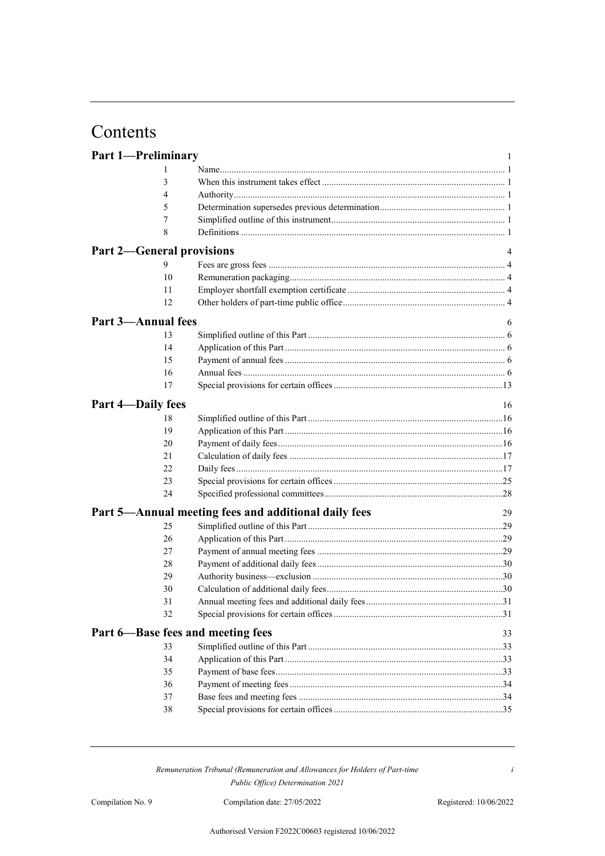## Contents

| <b>Part 1-Preliminary</b>         |                                                      | $\mathbf{1}$ |
|-----------------------------------|------------------------------------------------------|--------------|
| 1                                 |                                                      |              |
| 3                                 |                                                      |              |
| 4                                 |                                                      |              |
| 5                                 |                                                      |              |
| 7                                 |                                                      |              |
| 8                                 |                                                      |              |
| <b>Part 2-General provisions</b>  |                                                      | 4            |
| 9                                 |                                                      |              |
| 10                                |                                                      |              |
| 11                                |                                                      |              |
| 12                                |                                                      |              |
| <b>Part 3-Annual fees</b>         |                                                      | 6            |
| 13                                |                                                      |              |
| 14                                |                                                      |              |
| 15                                |                                                      |              |
| 16                                |                                                      |              |
| 17                                |                                                      |              |
| Part 4-Daily fees                 |                                                      | 16           |
| 18                                |                                                      |              |
| 19                                |                                                      |              |
| 20                                |                                                      |              |
| 21                                |                                                      |              |
| 22                                |                                                      |              |
| 23                                |                                                      |              |
| 24                                |                                                      |              |
|                                   | Part 5-Annual meeting fees and additional daily fees | 29           |
| 25                                |                                                      |              |
| 26                                |                                                      |              |
| 27                                |                                                      |              |
| 28                                |                                                      |              |
| 29                                |                                                      |              |
| 30                                |                                                      |              |
| 31                                |                                                      |              |
| 32                                |                                                      |              |
| Part 6—Base fees and meeting fees |                                                      | 33           |
| 33                                |                                                      |              |
| 34                                |                                                      |              |
| 35                                |                                                      |              |
| 36                                |                                                      |              |
| 37                                |                                                      |              |
| 38                                |                                                      |              |

*i*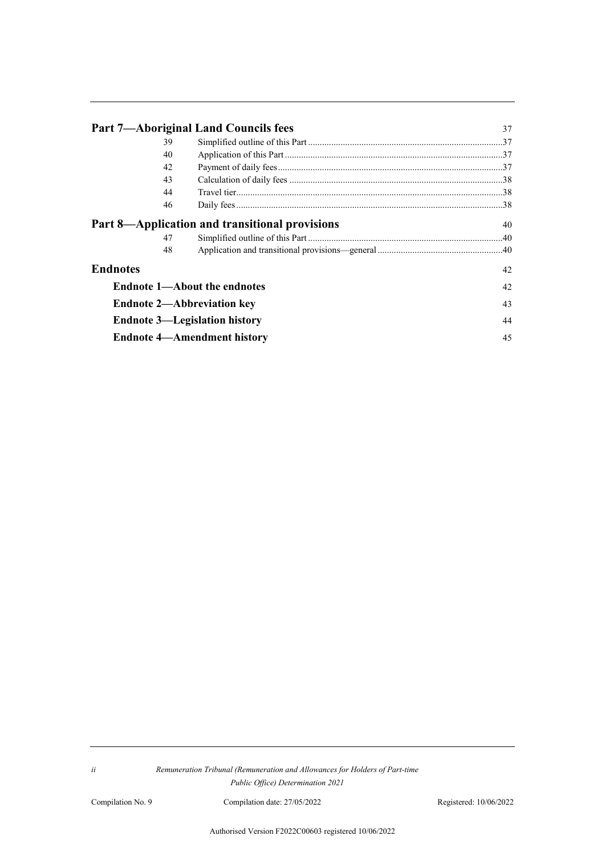|                 | <b>Part 7-Aboriginal Land Councils fees</b>    | 37 |
|-----------------|------------------------------------------------|----|
| 39              |                                                |    |
| 40              |                                                |    |
| 42              |                                                |    |
| 43              |                                                |    |
| 44              |                                                |    |
| 46              |                                                |    |
|                 | Part 8—Application and transitional provisions | 40 |
| 47              |                                                |    |
| 48              |                                                |    |
| <b>Endnotes</b> |                                                | 42 |
|                 | <b>Endnote 1—About the endnotes</b>            | 42 |
|                 | <b>Endnote 2—Abbreviation key</b>              | 43 |
|                 | <b>Endnote 3—Legislation history</b>           | 44 |
|                 | <b>Endnote 4—Amendment history</b>             | 45 |

Compilation No. 9 Compilation date: 27/05/2022 Registered: 10/06/2022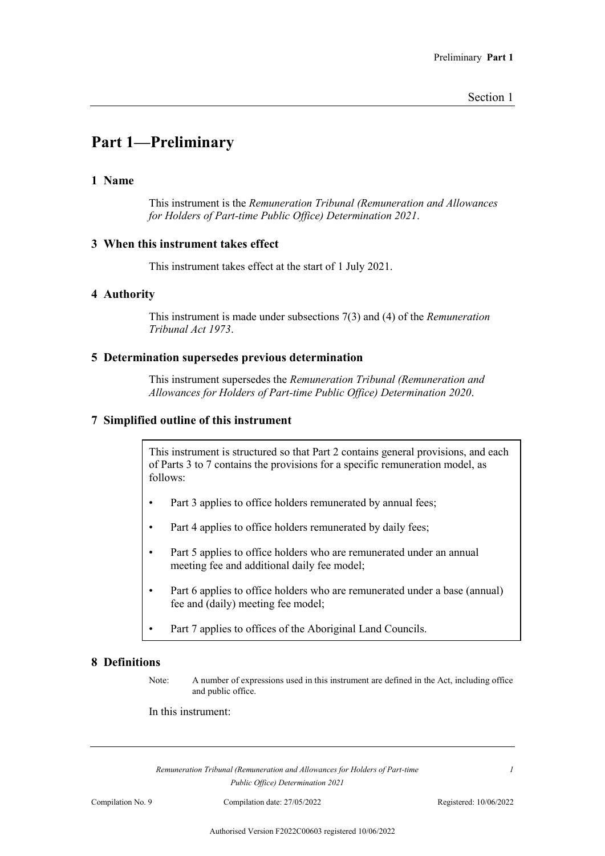## **Part 1—Preliminary**

#### **1 Name**

This instrument is the *Remuneration Tribunal (Remuneration and Allowances for Holders of Part-time Public Office) Determination 2021*.

#### **3 When this instrument takes effect**

This instrument takes effect at the start of 1 July 2021.

#### **4 Authority**

This instrument is made under subsections 7(3) and (4) of the *Remuneration Tribunal Act 1973*.

#### **5 Determination supersedes previous determination**

This instrument supersedes the *Remuneration Tribunal (Remuneration and Allowances for Holders of Part-time Public Office) Determination 2020*.

#### **7 Simplified outline of this instrument**

This instrument is structured so that Part 2 contains general provisions, and each of Parts 3 to 7 contains the provisions for a specific remuneration model, as follows:

- Part 3 applies to office holders remunerated by annual fees;
- Part 4 applies to office holders remunerated by daily fees;
- Part 5 applies to office holders who are remunerated under an annual meeting fee and additional daily fee model;
- Part 6 applies to office holders who are remunerated under a base (annual) fee and (daily) meeting fee model;
- Part 7 applies to offices of the Aboriginal Land Councils.

#### **8 Definitions**

Note: A number of expressions used in this instrument are defined in the Act, including office and public office.

#### In this instrument:

*Remuneration Tribunal (Remuneration and Allowances for Holders of Part-time Public Office) Determination 2021*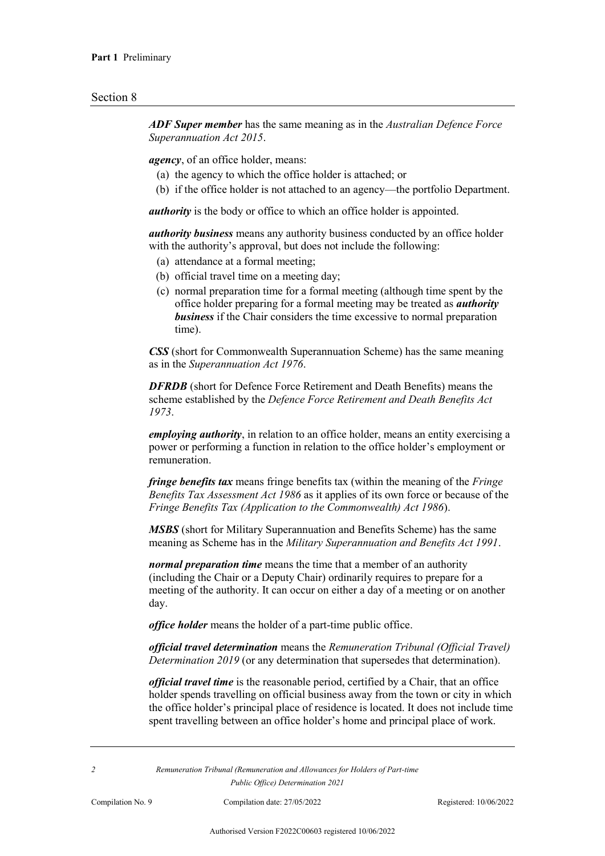*ADF Super member* has the same meaning as in the *Australian Defence Force Superannuation Act 2015*.

*agency*, of an office holder, means:

- (a) the agency to which the office holder is attached; or
- (b) if the office holder is not attached to an agency—the portfolio Department.

*authority* is the body or office to which an office holder is appointed.

*authority business* means any authority business conducted by an office holder with the authority's approval, but does not include the following:

- (a) attendance at a formal meeting;
- (b) official travel time on a meeting day;
- (c) normal preparation time for a formal meeting (although time spent by the office holder preparing for a formal meeting may be treated as *authority business* if the Chair considers the time excessive to normal preparation time).

*CSS* (short for Commonwealth Superannuation Scheme) has the same meaning as in the *Superannuation Act 1976*.

*DFRDB* (short for Defence Force Retirement and Death Benefits) means the scheme established by the *Defence Force Retirement and Death Benefits Act 1973*.

*employing authority*, in relation to an office holder, means an entity exercising a power or performing a function in relation to the office holder's employment or remuneration.

*fringe benefits tax* means fringe benefits tax (within the meaning of the *Fringe Benefits Tax Assessment Act 1986* as it applies of its own force or because of the *Fringe Benefits Tax (Application to the Commonwealth) Act 1986*).

*MSBS* (short for Military Superannuation and Benefits Scheme) has the same meaning as Scheme has in the *Military Superannuation and Benefits Act 1991*.

*normal preparation time* means the time that a member of an authority (including the Chair or a Deputy Chair) ordinarily requires to prepare for a meeting of the authority. It can occur on either a day of a meeting or on another day.

*office holder* means the holder of a part-time public office.

*official travel determination* means the *Remuneration Tribunal (Official Travel) Determination 2019* (or any determination that supersedes that determination).

*official travel time* is the reasonable period, certified by a Chair, that an office holder spends travelling on official business away from the town or city in which the office holder's principal place of residence is located. It does not include time spent travelling between an office holder's home and principal place of work.

*2 Remuneration Tribunal (Remuneration and Allowances for Holders of Part-time Public Office) Determination 2021*

Compilation No. 9 Compilation date: 27/05/2022 Registered: 10/06/2022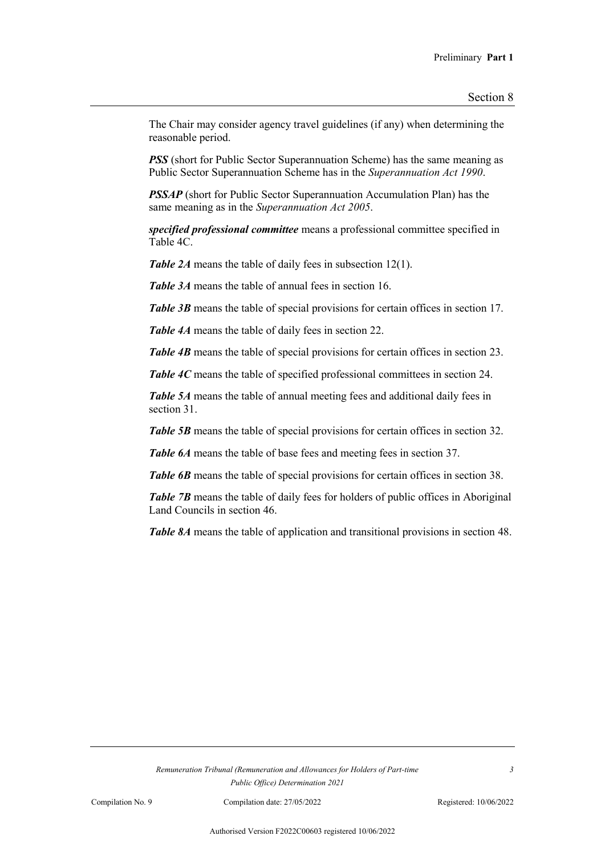The Chair may consider agency travel guidelines (if any) when determining the reasonable period.

*PSS* (short for Public Sector Superannuation Scheme) has the same meaning as Public Sector Superannuation Scheme has in the *Superannuation Act 1990*.

*PSSAP* (short for Public Sector Superannuation Accumulation Plan) has the same meaning as in the *Superannuation Act 2005*.

*specified professional committee* means a professional committee specified in Table 4C.

*Table 2A* means the table of daily fees in subsection 12(1).

*Table 3A* means the table of annual fees in section 16.

*Table 3B* means the table of special provisions for certain offices in section 17.

*Table 4A* means the table of daily fees in section 22.

**Table 4B** means the table of special provisions for certain offices in section 23.

*Table 4C* means the table of specified professional committees in section 24.

*Table 5A* means the table of annual meeting fees and additional daily fees in section 31.

*Table 5B* means the table of special provisions for certain offices in section 32.

**Table 6A** means the table of base fees and meeting fees in section 37.

**Table 6B** means the table of special provisions for certain offices in section 38.

**Table 7B** means the table of daily fees for holders of public offices in Aboriginal Land Councils in section 46.

*Table 8A* means the table of application and transitional provisions in section 48.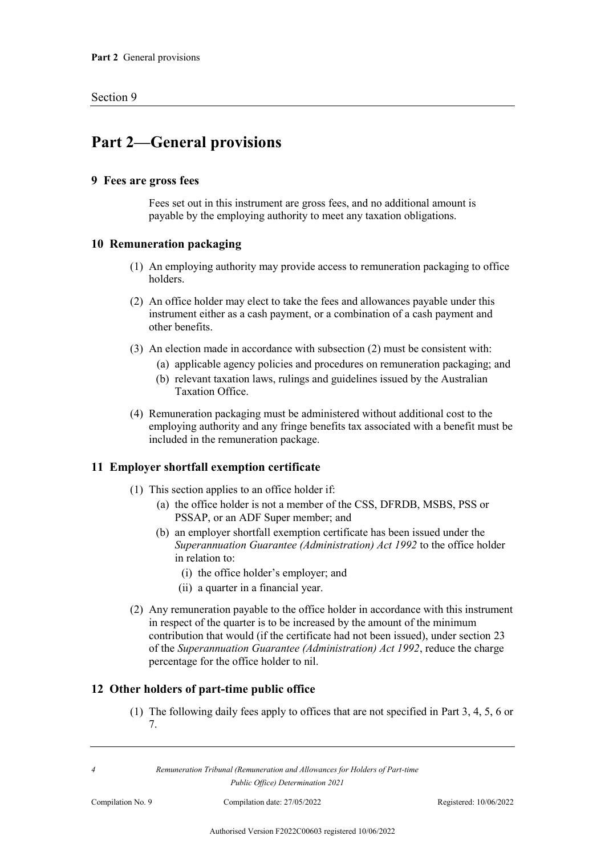## **Part 2—General provisions**

#### **9 Fees are gross fees**

Fees set out in this instrument are gross fees, and no additional amount is payable by the employing authority to meet any taxation obligations.

#### **10 Remuneration packaging**

- (1) An employing authority may provide access to remuneration packaging to office holders.
- (2) An office holder may elect to take the fees and allowances payable under this instrument either as a cash payment, or a combination of a cash payment and other benefits.
- (3) An election made in accordance with subsection (2) must be consistent with:
	- (a) applicable agency policies and procedures on remuneration packaging; and
	- (b) relevant taxation laws, rulings and guidelines issued by the Australian Taxation Office.
- (4) Remuneration packaging must be administered without additional cost to the employing authority and any fringe benefits tax associated with a benefit must be included in the remuneration package.

#### **11 Employer shortfall exemption certificate**

- (1) This section applies to an office holder if:
	- (a) the office holder is not a member of the CSS, DFRDB, MSBS, PSS or PSSAP, or an ADF Super member; and
	- (b) an employer shortfall exemption certificate has been issued under the *Superannuation Guarantee (Administration) Act 1992* to the office holder in relation to:
		- (i) the office holder's employer; and
		- (ii) a quarter in a financial year.
- (2) Any remuneration payable to the office holder in accordance with this instrument in respect of the quarter is to be increased by the amount of the minimum contribution that would (if the certificate had not been issued), under section 23 of the *Superannuation Guarantee (Administration) Act 1992*, reduce the charge percentage for the office holder to nil.

#### **12 Other holders of part-time public office**

(1) The following daily fees apply to offices that are not specified in Part 3, 4, 5, 6 or 7.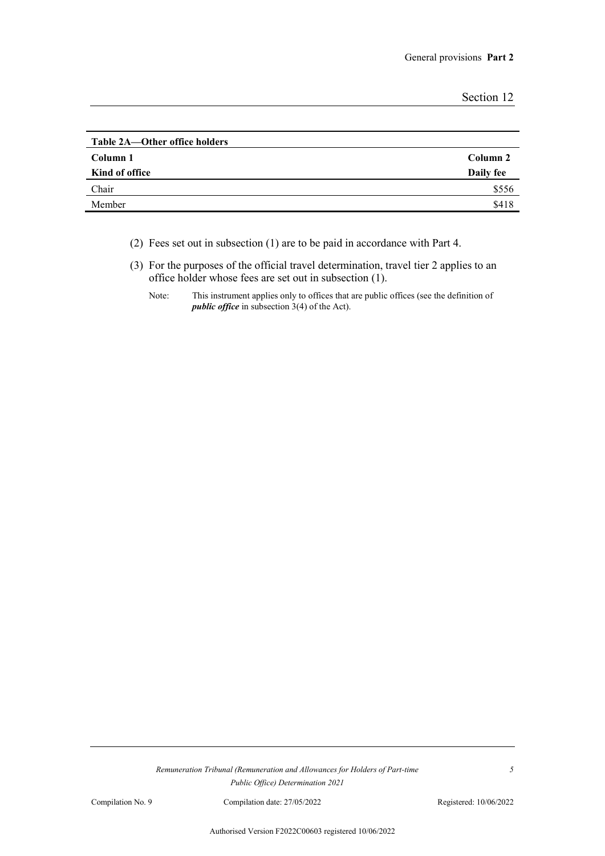| Section 12 |
|------------|
|------------|

| Table 2A—Other office holders |           |
|-------------------------------|-----------|
| Column 1                      | Column 2  |
| Kind of office                | Daily fee |
| Chair                         | \$556     |
| Member                        | \$418     |

(2) Fees set out in subsection (1) are to be paid in accordance with Part 4.

(3) For the purposes of the official travel determination, travel tier 2 applies to an office holder whose fees are set out in subsection (1).

Note: This instrument applies only to offices that are public offices (see the definition of *public office* in subsection 3(4) of the Act).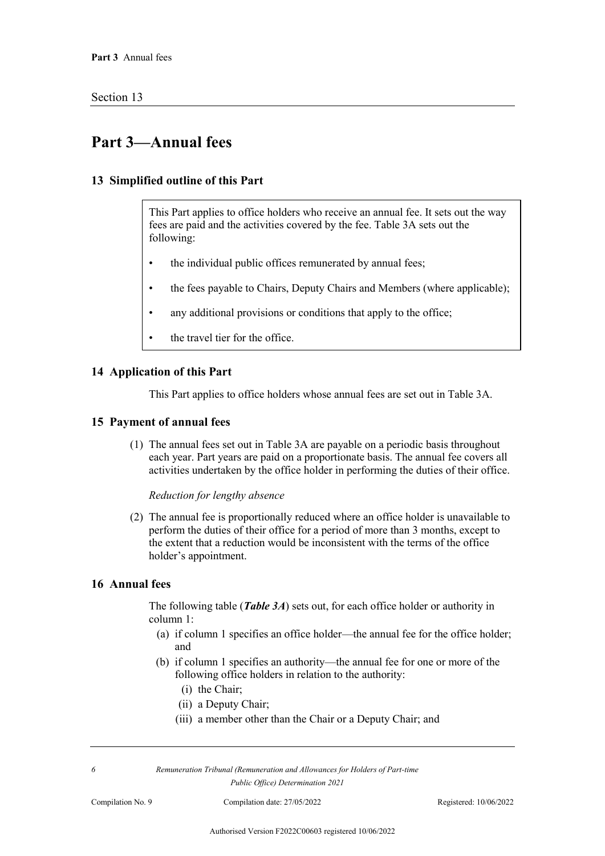## **Part 3—Annual fees**

#### **13 Simplified outline of this Part**

This Part applies to office holders who receive an annual fee. It sets out the way fees are paid and the activities covered by the fee. Table 3A sets out the following:

- the individual public offices remunerated by annual fees;
- the fees payable to Chairs, Deputy Chairs and Members (where applicable);
- any additional provisions or conditions that apply to the office;
- the travel tier for the office.

#### **14 Application of this Part**

This Part applies to office holders whose annual fees are set out in Table 3A.

#### **15 Payment of annual fees**

(1) The annual fees set out in Table 3A are payable on a periodic basis throughout each year. Part years are paid on a proportionate basis. The annual fee covers all activities undertaken by the office holder in performing the duties of their office.

#### *Reduction for lengthy absence*

(2) The annual fee is proportionally reduced where an office holder is unavailable to perform the duties of their office for a period of more than 3 months, except to the extent that a reduction would be inconsistent with the terms of the office holder's appointment.

### **16 Annual fees**

The following table (*Table 3A*) sets out, for each office holder or authority in column 1:

- (a) if column 1 specifies an office holder—the annual fee for the office holder; and
- (b) if column 1 specifies an authority—the annual fee for one or more of the following office holders in relation to the authority:
	- (i) the Chair;
	- (ii) a Deputy Chair;
	- (iii) a member other than the Chair or a Deputy Chair; and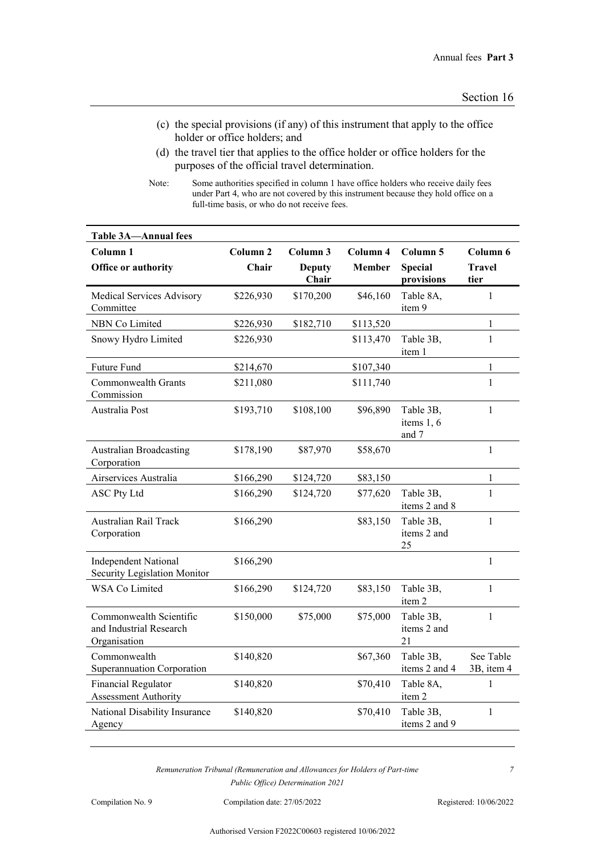- (c) the special provisions (if any) of this instrument that apply to the office holder or office holders; and
- (d) the travel tier that applies to the office holder or office holders for the purposes of the official travel determination.

Note: Some authorities specified in column 1 have office holders who receive daily fees under Part 4, who are not covered by this instrument because they hold office on a full-time basis, or who do not receive fees.

| <b>Table 3A-Annual fees</b>                                        |                     |                        |               |                                  |                         |
|--------------------------------------------------------------------|---------------------|------------------------|---------------|----------------------------------|-------------------------|
| Column <sub>1</sub>                                                | Column <sub>2</sub> | Column 3               | Column 4      | Column 5                         | Column 6                |
| Office or authority                                                | Chair               | <b>Deputy</b><br>Chair | <b>Member</b> | <b>Special</b><br>provisions     | <b>Travel</b><br>tier   |
| Medical Services Advisory<br>Committee                             | \$226,930           | \$170,200              | \$46,160      | Table 8A,<br>item 9              | $\mathbf{1}$            |
| <b>NBN Co Limited</b>                                              | \$226,930           | \$182,710              | \$113,520     |                                  | $\mathbf{1}$            |
| Snowy Hydro Limited                                                | \$226,930           |                        | \$113,470     | Table 3B,<br>item 1              | $\mathbf{1}$            |
| Future Fund                                                        | \$214,670           |                        | \$107,340     |                                  | 1                       |
| Commonwealth Grants<br>Commission                                  | \$211,080           |                        | \$111,740     |                                  | $\mathbf{1}$            |
| Australia Post                                                     | \$193,710           | \$108,100              | \$96,890      | Table 3B,<br>items 1, 6<br>and 7 | $\mathbf{1}$            |
| <b>Australian Broadcasting</b><br>Corporation                      | \$178,190           | \$87,970               | \$58,670      |                                  | $\mathbf{1}$            |
| Airservices Australia                                              | \$166,290           | \$124,720              | \$83,150      |                                  | $\mathbf{1}$            |
| <b>ASC Pty Ltd</b>                                                 | \$166,290           | \$124,720              | \$77,620      | Table 3B,<br>items 2 and 8       | $\mathbf{1}$            |
| <b>Australian Rail Track</b><br>Corporation                        | \$166,290           |                        | \$83,150      | Table 3B,<br>items 2 and<br>25   | $\mathbf{1}$            |
| <b>Independent National</b><br>Security Legislation Monitor        | \$166,290           |                        |               |                                  | $\mathbf{1}$            |
| <b>WSA Co Limited</b>                                              | \$166,290           | \$124,720              | \$83,150      | Table 3B,<br>item 2              | $\mathbf{1}$            |
| Commonwealth Scientific<br>and Industrial Research<br>Organisation | \$150,000           | \$75,000               | \$75,000      | Table 3B,<br>items 2 and<br>21   | $\mathbf{1}$            |
| Commonwealth<br>Superannuation Corporation                         | \$140,820           |                        | \$67,360      | Table 3B,<br>items 2 and 4       | See Table<br>3B, item 4 |
| <b>Financial Regulator</b><br><b>Assessment Authority</b>          | \$140,820           |                        | \$70,410      | Table 8A,<br>item 2              | 1                       |
| National Disability Insurance<br>Agency                            | \$140,820           |                        | \$70,410      | Table 3B,<br>items 2 and 9       | $\mathbf{1}$            |

Compilation No. 9 Compilation date: 27/05/2022 Registered: 10/06/2022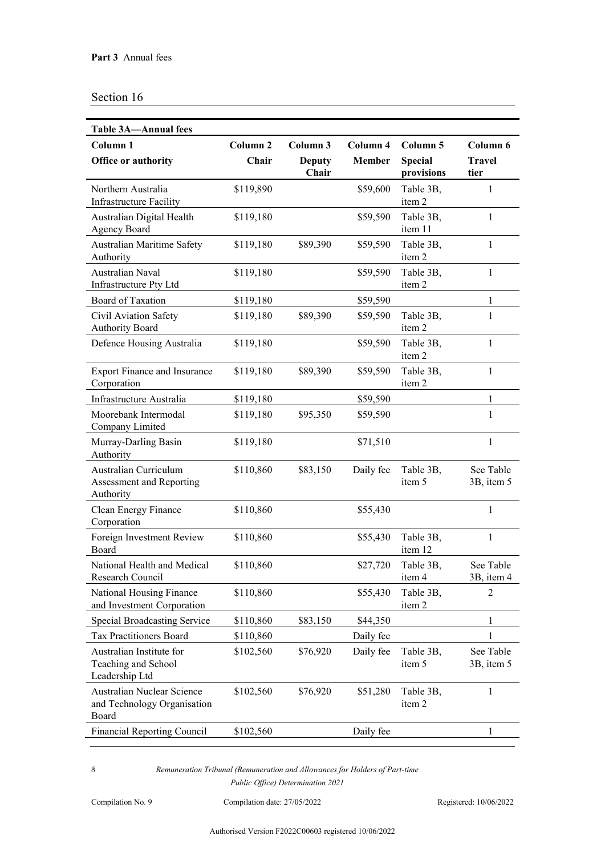| <b>Table 3A-Annual fees</b>                                        |                     |                        |           |                              |                         |
|--------------------------------------------------------------------|---------------------|------------------------|-----------|------------------------------|-------------------------|
| Column <sub>1</sub>                                                | Column <sub>2</sub> | Column 3               | Column 4  | Column 5                     | Column 6                |
| Office or authority                                                | Chair               | <b>Deputy</b><br>Chair | Member    | <b>Special</b><br>provisions | <b>Travel</b><br>tier   |
| Northern Australia<br><b>Infrastructure Facility</b>               | \$119,890           |                        | \$59,600  | Table 3B,<br>item 2          | $\mathbf{1}$            |
| Australian Digital Health<br><b>Agency Board</b>                   | \$119,180           |                        | \$59,590  | Table 3B,<br>item 11         | $\mathbf{1}$            |
| Australian Maritime Safety<br>Authority                            | \$119,180           | \$89,390               | \$59,590  | Table 3B,<br>item 2          | $\mathbf{1}$            |
| Australian Naval<br>Infrastructure Pty Ltd                         | \$119,180           |                        | \$59,590  | Table 3B,<br>item 2          | $\mathbf{1}$            |
| <b>Board of Taxation</b>                                           | \$119,180           |                        | \$59,590  |                              | 1                       |
| Civil Aviation Safety<br><b>Authority Board</b>                    | \$119,180           | \$89,390               | \$59,590  | Table 3B,<br>item 2          | $\mathbf{1}$            |
| Defence Housing Australia                                          | \$119,180           |                        | \$59,590  | Table 3B,<br>item 2          | $\mathbf{1}$            |
| <b>Export Finance and Insurance</b><br>Corporation                 | \$119,180           | \$89,390               | \$59,590  | Table 3B,<br>item 2          | $\mathbf{1}$            |
| Infrastructure Australia                                           | \$119,180           |                        | \$59,590  |                              | 1                       |
| Moorebank Intermodal<br>Company Limited                            | \$119,180           | \$95,350               | \$59,590  |                              | 1                       |
| Murray-Darling Basin<br>Authority                                  | \$119,180           |                        | \$71,510  |                              | $\mathbf{1}$            |
| Australian Curriculum<br>Assessment and Reporting<br>Authority     | \$110,860           | \$83,150               | Daily fee | Table 3B,<br>item 5          | See Table<br>3B, item 5 |
| Clean Energy Finance<br>Corporation                                | \$110,860           |                        | \$55,430  |                              | $\mathbf{1}$            |
| Foreign Investment Review<br>Board                                 | \$110,860           |                        | \$55,430  | Table 3B,<br>item 12         | 1                       |
| National Health and Medical<br>Research Council                    | \$110,860           |                        | \$27,720  | Table 3B,<br>item 4          | See Table<br>3B, item 4 |
| National Housing Finance<br>and Investment Corporation             | \$110,860           |                        | \$55,430  | Table 3B,<br>item 2          | 2                       |
| <b>Special Broadcasting Service</b>                                | \$110,860           | \$83,150               | \$44,350  |                              | $\mathbf{1}$            |
| <b>Tax Practitioners Board</b>                                     | \$110,860           |                        | Daily fee |                              | 1                       |
| Australian Institute for<br>Teaching and School<br>Leadership Ltd  | \$102,560           | \$76,920               | Daily fee | Table 3B,<br>item 5          | See Table<br>3B, item 5 |
| Australian Nuclear Science<br>and Technology Organisation<br>Board | \$102,560           | \$76,920               | \$51,280  | Table 3B,<br>item 2          | 1                       |
| <b>Financial Reporting Council</b>                                 | \$102,560           |                        | Daily fee |                              | 1                       |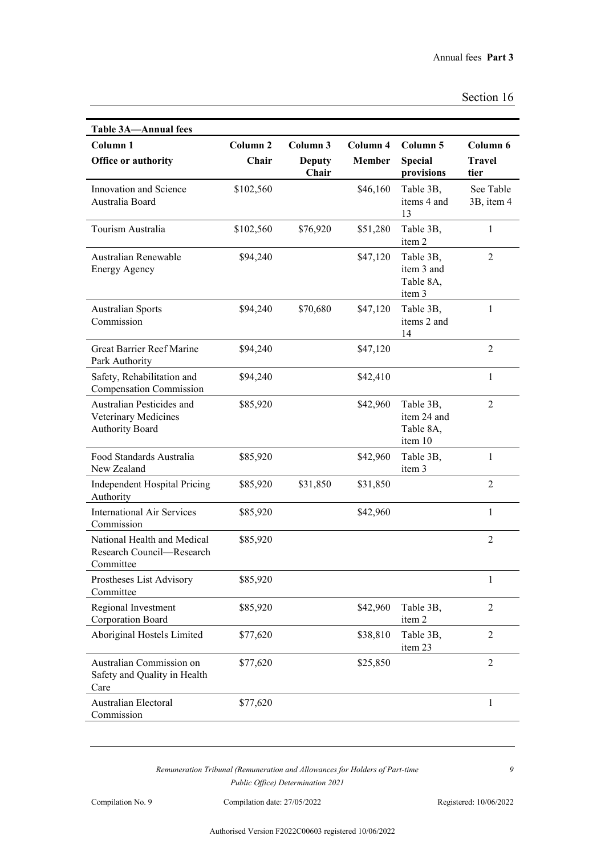| Section 16 |  |
|------------|--|
|------------|--|

| <b>Table 3A-Annual fees</b>                                                 |                     |                        |               |                                                  |                         |
|-----------------------------------------------------------------------------|---------------------|------------------------|---------------|--------------------------------------------------|-------------------------|
| Column <sub>1</sub>                                                         | Column <sub>2</sub> | Column 3               | Column 4      | Column 5                                         | Column 6                |
| Office or authority                                                         | Chair               | <b>Deputy</b><br>Chair | <b>Member</b> | <b>Special</b><br>provisions                     | <b>Travel</b><br>tier   |
| Innovation and Science<br>Australia Board                                   | \$102,560           |                        | \$46,160      | Table 3B,<br>items 4 and<br>13                   | See Table<br>3B, item 4 |
| Tourism Australia                                                           | \$102,560           | \$76,920               | \$51,280      | Table 3B,<br>item 2                              | 1                       |
| Australian Renewable<br><b>Energy Agency</b>                                | \$94,240            |                        | \$47,120      | Table 3B,<br>item 3 and<br>Table 8A,<br>item 3   | $\overline{2}$          |
| <b>Australian Sports</b><br>Commission                                      | \$94,240            | \$70,680               | \$47,120      | Table 3B,<br>items 2 and<br>14                   | 1                       |
| Great Barrier Reef Marine<br>Park Authority                                 | \$94,240            |                        | \$47,120      |                                                  | $\overline{2}$          |
| Safety, Rehabilitation and<br><b>Compensation Commission</b>                | \$94,240            |                        | \$42,410      |                                                  | 1                       |
| Australian Pesticides and<br>Veterinary Medicines<br><b>Authority Board</b> | \$85,920            |                        | \$42,960      | Table 3B,<br>item 24 and<br>Table 8A,<br>item 10 | $\overline{2}$          |
| Food Standards Australia<br>New Zealand                                     | \$85,920            |                        | \$42,960      | Table 3B,<br>item 3                              | 1                       |
| <b>Independent Hospital Pricing</b><br>Authority                            | \$85,920            | \$31,850               | \$31,850      |                                                  | $\overline{2}$          |
| <b>International Air Services</b><br>Commission                             | \$85,920            |                        | \$42,960      |                                                  | 1                       |
| National Health and Medical<br>Research Council-Research<br>Committee       | \$85,920            |                        |               |                                                  | $\overline{2}$          |
| Prostheses List Advisory<br>Committee                                       | \$85,920            |                        |               |                                                  | 1                       |
| Regional Investment<br>Corporation Board                                    | \$85,920            |                        | \$42,960      | Table 3B,<br>item 2                              | $\overline{2}$          |
| Aboriginal Hostels Limited                                                  | \$77,620            |                        | \$38,810      | Table 3B,<br>item 23                             | $\overline{2}$          |
| Australian Commission on<br>Safety and Quality in Health<br>Care            | \$77,620            |                        | \$25,850      |                                                  | $\overline{2}$          |
| Australian Electoral<br>Commission                                          | \$77,620            |                        |               |                                                  | $\mathbf{1}$            |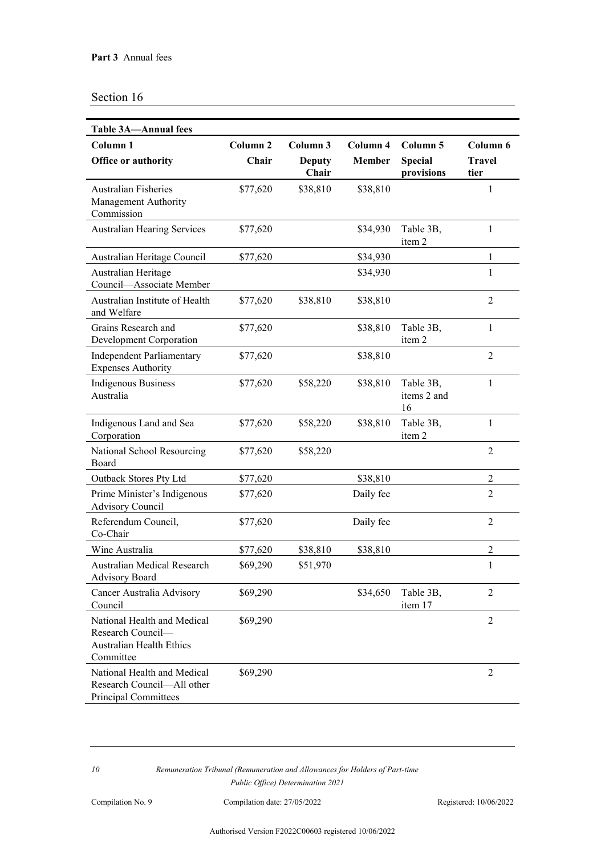| <b>Table 3A-Annual fees</b>                                                                      |                              |                                    |                           |                                          |                                   |
|--------------------------------------------------------------------------------------------------|------------------------------|------------------------------------|---------------------------|------------------------------------------|-----------------------------------|
| Column <sub>1</sub><br>Office or authority                                                       | Column <sub>2</sub><br>Chair | Column 3<br><b>Deputy</b><br>Chair | Column 4<br><b>Member</b> | Column 5<br><b>Special</b><br>provisions | Column 6<br><b>Travel</b><br>tier |
| <b>Australian Fisheries</b><br>Management Authority<br>Commission                                | \$77,620                     | \$38,810                           | \$38,810                  |                                          | 1                                 |
| <b>Australian Hearing Services</b>                                                               | \$77,620                     |                                    | \$34,930                  | Table 3B,<br>item 2                      | $\mathbf{1}$                      |
| Australian Heritage Council                                                                      | \$77,620                     |                                    | \$34,930                  |                                          | 1                                 |
| Australian Heritage<br>Council-Associate Member                                                  |                              |                                    | \$34,930                  |                                          | $\mathbf{1}$                      |
| Australian Institute of Health<br>and Welfare                                                    | \$77,620                     | \$38,810                           | \$38,810                  |                                          | $\overline{2}$                    |
| Grains Research and<br><b>Development Corporation</b>                                            | \$77,620                     |                                    | \$38,810                  | Table 3B,<br>item 2                      | $\mathbf{1}$                      |
| <b>Independent Parliamentary</b><br><b>Expenses Authority</b>                                    | \$77,620                     |                                    | \$38,810                  |                                          | $\overline{2}$                    |
| <b>Indigenous Business</b><br>Australia                                                          | \$77,620                     | \$58,220                           | \$38,810                  | Table 3B,<br>items 2 and<br>16           | $\mathbf{1}$                      |
| Indigenous Land and Sea<br>Corporation                                                           | \$77,620                     | \$58,220                           | \$38,810                  | Table 3B,<br>item 2                      | 1                                 |
| National School Resourcing<br>Board                                                              | \$77,620                     | \$58,220                           |                           |                                          | $\overline{2}$                    |
| Outback Stores Pty Ltd                                                                           | \$77,620                     |                                    | \$38,810                  |                                          | $\boldsymbol{2}$                  |
| Prime Minister's Indigenous<br><b>Advisory Council</b>                                           | \$77,620                     |                                    | Daily fee                 |                                          | $\overline{2}$                    |
| Referendum Council,<br>Co-Chair                                                                  | \$77,620                     |                                    | Daily fee                 |                                          | $\overline{2}$                    |
| Wine Australia                                                                                   | \$77,620                     | \$38,810                           | \$38,810                  |                                          | $\overline{2}$                    |
| Australian Medical Research<br><b>Advisory Board</b>                                             | \$69,290                     | \$51,970                           |                           |                                          | $\mathbf{1}$                      |
| Cancer Australia Advisory<br>Council                                                             | \$69,290                     |                                    | \$34,650                  | Table 3B,<br>item 17                     | 2                                 |
| National Health and Medical<br>Research Council-<br><b>Australian Health Ethics</b><br>Committee | \$69,290                     |                                    |                           |                                          | $\overline{2}$                    |
| National Health and Medical<br>Research Council-All other<br><b>Principal Committees</b>         | \$69,290                     |                                    |                           |                                          | $\overline{2}$                    |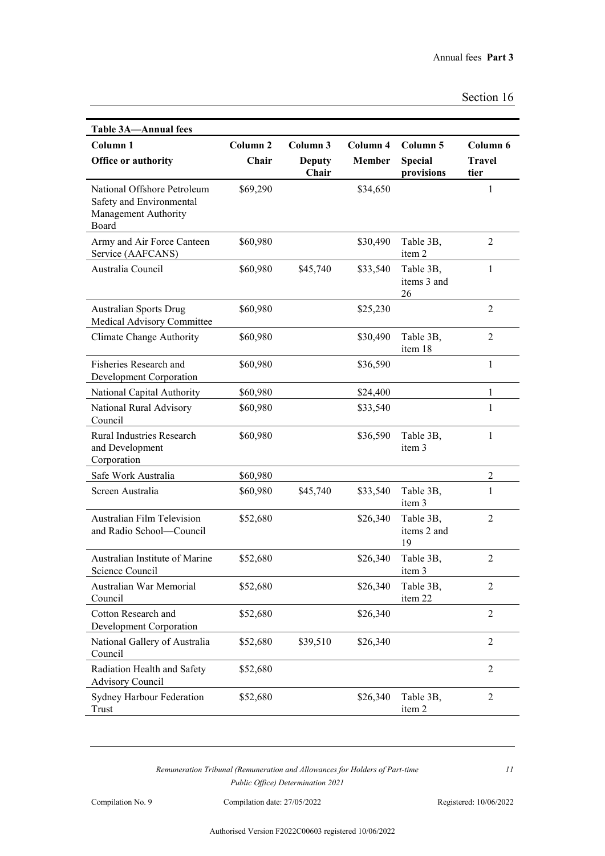| <b>Table 3A-Annual fees</b>                                                              |                              |                                    |                           |                                                     |                                   |
|------------------------------------------------------------------------------------------|------------------------------|------------------------------------|---------------------------|-----------------------------------------------------|-----------------------------------|
| Column <sub>1</sub><br>Office or authority                                               | Column <sub>2</sub><br>Chair | Column 3<br><b>Deputy</b><br>Chair | Column 4<br><b>Member</b> | Column <sub>5</sub><br><b>Special</b><br>provisions | Column 6<br><b>Travel</b><br>tier |
| National Offshore Petroleum<br>Safety and Environmental<br>Management Authority<br>Board | \$69,290                     |                                    | \$34,650                  |                                                     | 1                                 |
| Army and Air Force Canteen<br>Service (AAFCANS)                                          | \$60,980                     |                                    | \$30,490                  | Table 3B,<br>item 2                                 | 2                                 |
| Australia Council                                                                        | \$60,980                     | \$45,740                           | \$33,540                  | Table 3B,<br>items 3 and<br>26                      | $\mathbf{1}$                      |
| <b>Australian Sports Drug</b><br>Medical Advisory Committee                              | \$60,980                     |                                    | \$25,230                  |                                                     | $\overline{2}$                    |
| Climate Change Authority                                                                 | \$60,980                     |                                    | \$30,490                  | Table 3B,<br>item 18                                | $\overline{2}$                    |
| Fisheries Research and<br><b>Development Corporation</b>                                 | \$60,980                     |                                    | \$36,590                  |                                                     | $\mathbf{1}$                      |
| National Capital Authority                                                               | \$60,980                     |                                    | \$24,400                  |                                                     | 1                                 |
| National Rural Advisory<br>Council                                                       | \$60,980                     |                                    | \$33,540                  |                                                     | $\mathbf{1}$                      |
| <b>Rural Industries Research</b><br>and Development<br>Corporation                       | \$60,980                     |                                    | \$36,590                  | Table 3B,<br>item 3                                 | $\mathbf{1}$                      |
| Safe Work Australia                                                                      | \$60,980                     |                                    |                           |                                                     | $\overline{2}$                    |
| Screen Australia                                                                         | \$60,980                     | \$45,740                           | \$33,540                  | Table 3B,<br>item 3                                 | $\mathbf{1}$                      |
| <b>Australian Film Television</b><br>and Radio School-Council                            | \$52,680                     |                                    | \$26,340                  | Table 3B,<br>items 2 and<br>19                      | $\overline{2}$                    |
| Australian Institute of Marine<br>Science Council                                        | \$52,680                     |                                    | \$26,340                  | Table 3B,<br>item 3                                 | 2                                 |
| Australian War Memorial<br>Council                                                       | \$52,680                     |                                    | \$26,340                  | Table 3B,<br>item 22                                | $\overline{2}$                    |
| Cotton Research and<br>Development Corporation                                           | \$52,680                     |                                    | \$26,340                  |                                                     | $\overline{2}$                    |
| National Gallery of Australia<br>Council                                                 | \$52,680                     | \$39,510                           | \$26,340                  |                                                     | $\overline{2}$                    |
| Radiation Health and Safety<br><b>Advisory Council</b>                                   | \$52,680                     |                                    |                           |                                                     | $\overline{2}$                    |
| Sydney Harbour Federation<br>Trust                                                       | \$52,680                     |                                    | \$26,340                  | Table 3B,<br>item 2                                 | $\overline{2}$                    |

Compilation No. 9 Compilation date: 27/05/2022 Registered: 10/06/2022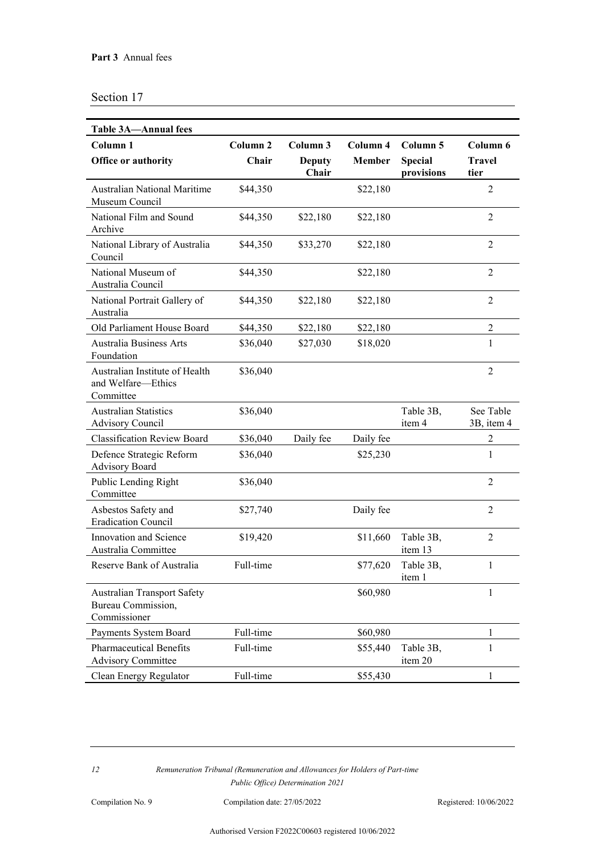| <b>Table 3A-Annual fees</b>                                                     |                     |                        |           |                              |                         |
|---------------------------------------------------------------------------------|---------------------|------------------------|-----------|------------------------------|-------------------------|
| Column <sub>1</sub>                                                             | Column <sub>2</sub> | Column 3               | Column 4  | Column 5                     | Column 6                |
| Office or authority                                                             | Chair               | <b>Deputy</b><br>Chair | Member    | <b>Special</b><br>provisions | <b>Travel</b><br>tier   |
| <b>Australian National Maritime</b><br>Museum Council                           | \$44,350            |                        | \$22,180  |                              | $\overline{2}$          |
| National Film and Sound<br>Archive                                              | \$44,350            | \$22,180               | \$22,180  |                              | $\overline{2}$          |
| National Library of Australia<br>Council                                        | \$44,350            | \$33,270               | \$22,180  |                              | $\overline{2}$          |
| National Museum of<br>Australia Council                                         | \$44,350            |                        | \$22,180  |                              | $\overline{2}$          |
| National Portrait Gallery of<br>Australia                                       | \$44,350            | \$22,180               | \$22,180  |                              | $\overline{2}$          |
| Old Parliament House Board                                                      | \$44,350            | \$22,180               | \$22,180  |                              | $\overline{2}$          |
| <b>Australia Business Arts</b><br>Foundation                                    | \$36,040            | \$27,030               | \$18,020  |                              | 1                       |
| Australian Institute of Health<br>and Welfare-Ethics<br>Committee               | \$36,040            |                        |           |                              | $\overline{2}$          |
| <b>Australian Statistics</b><br><b>Advisory Council</b>                         | \$36,040            |                        |           | Table 3B,<br>item 4          | See Table<br>3B, item 4 |
| <b>Classification Review Board</b>                                              | \$36,040            | Daily fee              | Daily fee |                              | $\overline{2}$          |
| Defence Strategic Reform<br><b>Advisory Board</b>                               | \$36,040            |                        | \$25,230  |                              | 1                       |
| Public Lending Right<br>Committee                                               | \$36,040            |                        |           |                              | $\overline{2}$          |
| Asbestos Safety and<br><b>Eradication Council</b>                               | \$27,740            |                        | Daily fee |                              | 2                       |
| Innovation and Science<br>Australia Committee                                   | \$19,420            |                        | \$11,660  | Table 3B,<br>item 13         | $\overline{2}$          |
| Reserve Bank of Australia                                                       | Full-time           |                        | \$77,620  | Table 3B,<br>item 1          | 1                       |
| <b>Australian Transport Safety</b><br><b>Bureau Commission,</b><br>Commissioner |                     |                        | \$60,980  |                              | 1                       |
| Payments System Board                                                           | Full-time           |                        | \$60,980  |                              | 1                       |
| <b>Pharmaceutical Benefits</b><br><b>Advisory Committee</b>                     | Full-time           |                        | \$55,440  | Table 3B,<br>item 20         | $\mathbf{1}$            |
| Clean Energy Regulator                                                          | Full-time           |                        | \$55,430  |                              | 1                       |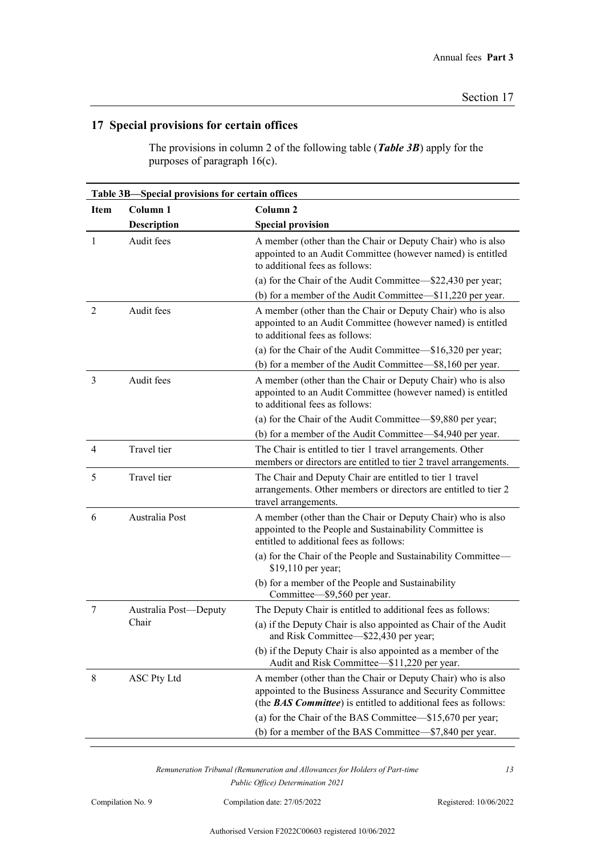## **17 Special provisions for certain offices**

The provisions in column 2 of the following table (*Table 3B*) apply for the purposes of paragraph 16(c).

|             | Table 3B-Special provisions for certain offices |                                                                                                                                                                                                     |  |  |  |
|-------------|-------------------------------------------------|-----------------------------------------------------------------------------------------------------------------------------------------------------------------------------------------------------|--|--|--|
| <b>Item</b> | Column <sub>1</sub>                             | Column <sub>2</sub>                                                                                                                                                                                 |  |  |  |
|             | Description                                     | <b>Special provision</b>                                                                                                                                                                            |  |  |  |
| 1           | Audit fees                                      | A member (other than the Chair or Deputy Chair) who is also<br>appointed to an Audit Committee (however named) is entitled<br>to additional fees as follows:                                        |  |  |  |
|             |                                                 | (a) for the Chair of the Audit Committee—\$22,430 per year;<br>(b) for a member of the Audit Committee—\$11,220 per year.                                                                           |  |  |  |
| 2           | Audit fees                                      | A member (other than the Chair or Deputy Chair) who is also<br>appointed to an Audit Committee (however named) is entitled<br>to additional fees as follows:                                        |  |  |  |
|             |                                                 | (a) for the Chair of the Audit Committee—\$16,320 per year;<br>(b) for a member of the Audit Committee—\$8,160 per year.                                                                            |  |  |  |
| 3           | Audit fees                                      | A member (other than the Chair or Deputy Chair) who is also<br>appointed to an Audit Committee (however named) is entitled<br>to additional fees as follows:                                        |  |  |  |
|             |                                                 | (a) for the Chair of the Audit Committee-\$9,880 per year;<br>(b) for a member of the Audit Committee—\$4,940 per year.                                                                             |  |  |  |
|             |                                                 |                                                                                                                                                                                                     |  |  |  |
| 4           | Travel tier                                     | The Chair is entitled to tier 1 travel arrangements. Other<br>members or directors are entitled to tier 2 travel arrangements.                                                                      |  |  |  |
| 5           | Travel tier                                     | The Chair and Deputy Chair are entitled to tier 1 travel<br>arrangements. Other members or directors are entitled to tier 2<br>travel arrangements.                                                 |  |  |  |
| 6           | Australia Post                                  | A member (other than the Chair or Deputy Chair) who is also<br>appointed to the People and Sustainability Committee is<br>entitled to additional fees as follows:                                   |  |  |  |
|             |                                                 | (a) for the Chair of the People and Sustainability Committee—<br>\$19,110 per year;                                                                                                                 |  |  |  |
|             |                                                 | (b) for a member of the People and Sustainability<br>Committee-\$9,560 per year.                                                                                                                    |  |  |  |
| 7           | Australia Post-Deputy<br>Chair                  | The Deputy Chair is entitled to additional fees as follows:<br>(a) if the Deputy Chair is also appointed as Chair of the Audit<br>and Risk Committee-\$22,430 per year;                             |  |  |  |
|             |                                                 | (b) if the Deputy Chair is also appointed as a member of the<br>Audit and Risk Committee—\$11,220 per year.                                                                                         |  |  |  |
| 8           | <b>ASC Pty Ltd</b>                              | A member (other than the Chair or Deputy Chair) who is also<br>appointed to the Business Assurance and Security Committee<br>(the <b>BAS Committee</b> ) is entitled to additional fees as follows: |  |  |  |
|             |                                                 | (a) for the Chair of the BAS Committee—\$15,670 per year;<br>(b) for a member of the BAS Committee—\$7,840 per year.                                                                                |  |  |  |
|             |                                                 |                                                                                                                                                                                                     |  |  |  |

*Remuneration Tribunal (Remuneration and Allowances for Holders of Part-time Public Office) Determination 2021*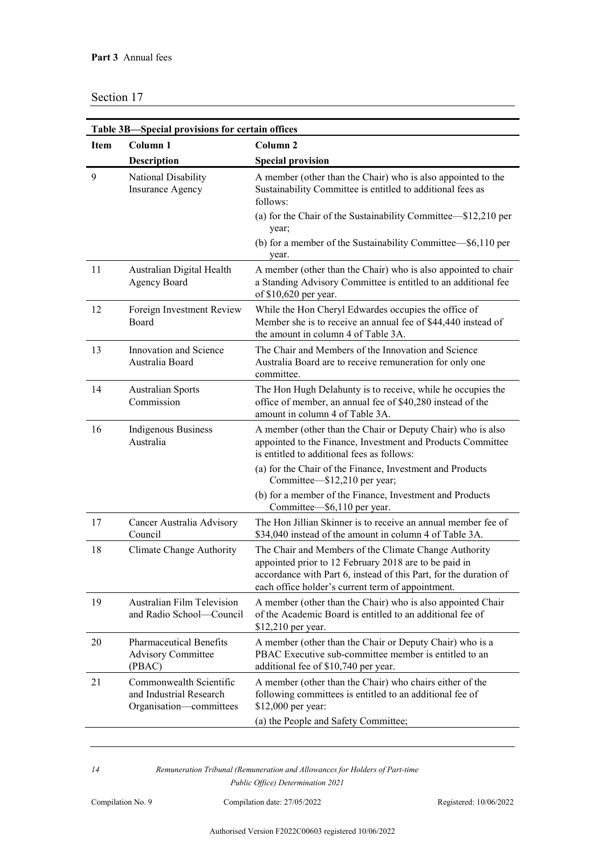|             | Table 3B-Special provisions for certain offices                               |                                                                                                                                                                                                                                                                                   |  |  |  |  |
|-------------|-------------------------------------------------------------------------------|-----------------------------------------------------------------------------------------------------------------------------------------------------------------------------------------------------------------------------------------------------------------------------------|--|--|--|--|
| <b>Item</b> | Column <sub>1</sub>                                                           | Column <sub>2</sub>                                                                                                                                                                                                                                                               |  |  |  |  |
|             | <b>Description</b>                                                            | <b>Special provision</b>                                                                                                                                                                                                                                                          |  |  |  |  |
| 9           | National Disability<br><b>Insurance Agency</b>                                | A member (other than the Chair) who is also appointed to the<br>Sustainability Committee is entitled to additional fees as<br>follows:<br>(a) for the Chair of the Sustainability Committee—\$12,210 per<br>year;<br>(b) for a member of the Sustainability Committee—\$6,110 per |  |  |  |  |
|             |                                                                               | year.                                                                                                                                                                                                                                                                             |  |  |  |  |
| 11          | Australian Digital Health<br><b>Agency Board</b>                              | A member (other than the Chair) who is also appointed to chair<br>a Standing Advisory Committee is entitled to an additional fee<br>of \$10,620 per year.                                                                                                                         |  |  |  |  |
| 12          | Foreign Investment Review<br>Board                                            | While the Hon Cheryl Edwardes occupies the office of<br>Member she is to receive an annual fee of \$44,440 instead of<br>the amount in column 4 of Table 3A.                                                                                                                      |  |  |  |  |
| 13          | <b>Innovation and Science</b><br>Australia Board                              | The Chair and Members of the Innovation and Science<br>Australia Board are to receive remuneration for only one<br>committee.                                                                                                                                                     |  |  |  |  |
| 14          | <b>Australian Sports</b><br>Commission                                        | The Hon Hugh Delahunty is to receive, while he occupies the<br>office of member, an annual fee of \$40,280 instead of the<br>amount in column 4 of Table 3A.                                                                                                                      |  |  |  |  |
| 16          | <b>Indigenous Business</b><br>Australia                                       | A member (other than the Chair or Deputy Chair) who is also<br>appointed to the Finance, Investment and Products Committee<br>is entitled to additional fees as follows:                                                                                                          |  |  |  |  |
|             |                                                                               | (a) for the Chair of the Finance, Investment and Products<br>Committee—\$12,210 per year;                                                                                                                                                                                         |  |  |  |  |
|             |                                                                               | (b) for a member of the Finance, Investment and Products<br>Committee—\$6,110 per year.                                                                                                                                                                                           |  |  |  |  |
| 17          | Cancer Australia Advisory<br>Council                                          | The Hon Jillian Skinner is to receive an annual member fee of<br>\$34,040 instead of the amount in column 4 of Table 3A.                                                                                                                                                          |  |  |  |  |
| 18          | Climate Change Authority                                                      | The Chair and Members of the Climate Change Authority<br>appointed prior to 12 February 2018 are to be paid in<br>accordance with Part 6, instead of this Part, for the duration of<br>each office holder's current term of appointment.                                          |  |  |  |  |
| 19          | <b>Australian Film Television</b><br>and Radio School-Council                 | A member (other than the Chair) who is also appointed Chair<br>of the Academic Board is entitled to an additional fee of<br>\$12,210 per year.                                                                                                                                    |  |  |  |  |
| 20          | <b>Pharmaceutical Benefits</b><br><b>Advisory Committee</b><br>(PBAC)         | A member (other than the Chair or Deputy Chair) who is a<br>PBAC Executive sub-committee member is entitled to an<br>additional fee of \$10,740 per year.                                                                                                                         |  |  |  |  |
| 21          | Commonwealth Scientific<br>and Industrial Research<br>Organisation-committees | A member (other than the Chair) who chairs either of the<br>following committees is entitled to an additional fee of<br>\$12,000 per year:<br>(a) the People and Safety Committee;                                                                                                |  |  |  |  |
|             |                                                                               |                                                                                                                                                                                                                                                                                   |  |  |  |  |

*14 Remuneration Tribunal (Remuneration and Allowances for Holders of Part-time Public Office) Determination 2021*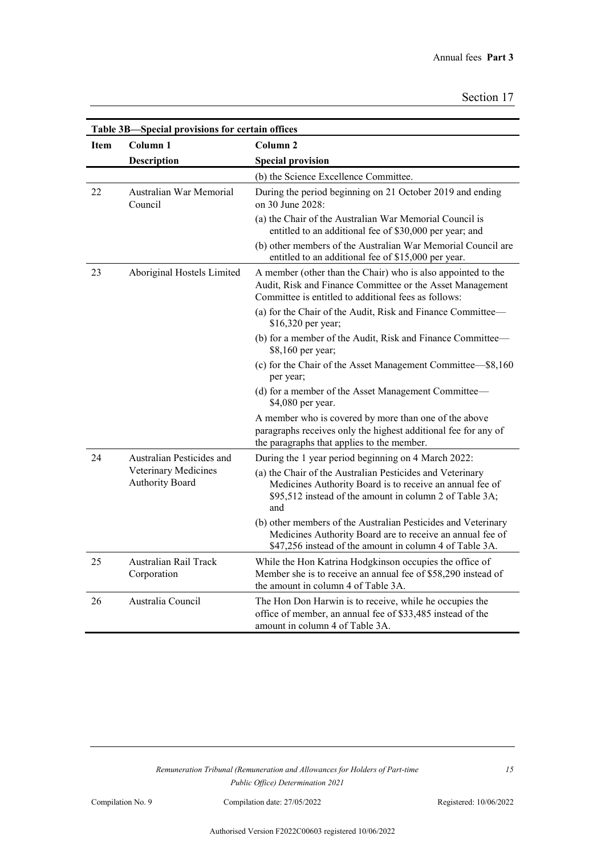|                                                | Table 3B-Special provisions for certain offices |                                                                                                                                                                                         |  |  |  |
|------------------------------------------------|-------------------------------------------------|-----------------------------------------------------------------------------------------------------------------------------------------------------------------------------------------|--|--|--|
| <b>Item</b>                                    | Column <sub>1</sub>                             | Column <sub>2</sub>                                                                                                                                                                     |  |  |  |
|                                                | Description                                     | <b>Special provision</b>                                                                                                                                                                |  |  |  |
|                                                |                                                 | (b) the Science Excellence Committee.                                                                                                                                                   |  |  |  |
| 22                                             | Australian War Memorial<br>Council              | During the period beginning on 21 October 2019 and ending<br>on 30 June 2028:                                                                                                           |  |  |  |
|                                                |                                                 | (a) the Chair of the Australian War Memorial Council is<br>entitled to an additional fee of \$30,000 per year; and                                                                      |  |  |  |
|                                                |                                                 | (b) other members of the Australian War Memorial Council are<br>entitled to an additional fee of \$15,000 per year.                                                                     |  |  |  |
| 23                                             | Aboriginal Hostels Limited                      | A member (other than the Chair) who is also appointed to the<br>Audit, Risk and Finance Committee or the Asset Management<br>Committee is entitled to additional fees as follows:       |  |  |  |
|                                                |                                                 | (a) for the Chair of the Audit, Risk and Finance Committee—<br>\$16,320 per year;                                                                                                       |  |  |  |
|                                                |                                                 | (b) for a member of the Audit, Risk and Finance Committee-<br>\$8,160 per year;                                                                                                         |  |  |  |
|                                                |                                                 | (c) for the Chair of the Asset Management Committee—\$8,160<br>per year;                                                                                                                |  |  |  |
|                                                |                                                 | (d) for a member of the Asset Management Committee—<br>\$4,080 per year.                                                                                                                |  |  |  |
|                                                |                                                 | A member who is covered by more than one of the above<br>paragraphs receives only the highest additional fee for any of<br>the paragraphs that applies to the member.                   |  |  |  |
| 24                                             | Australian Pesticides and                       | During the 1 year period beginning on 4 March 2022:                                                                                                                                     |  |  |  |
| Veterinary Medicines<br><b>Authority Board</b> |                                                 | (a) the Chair of the Australian Pesticides and Veterinary<br>Medicines Authority Board is to receive an annual fee of<br>\$95,512 instead of the amount in column 2 of Table 3A;<br>and |  |  |  |
|                                                |                                                 | (b) other members of the Australian Pesticides and Veterinary<br>Medicines Authority Board are to receive an annual fee of<br>\$47,256 instead of the amount in column 4 of Table 3A.   |  |  |  |
| 25                                             | Australian Rail Track<br>Corporation            | While the Hon Katrina Hodgkinson occupies the office of<br>Member she is to receive an annual fee of \$58,290 instead of<br>the amount in column 4 of Table 3A.                         |  |  |  |
| 26                                             | Australia Council                               | The Hon Don Harwin is to receive, while he occupies the<br>office of member, an annual fee of \$33,485 instead of the<br>amount in column 4 of Table 3A.                                |  |  |  |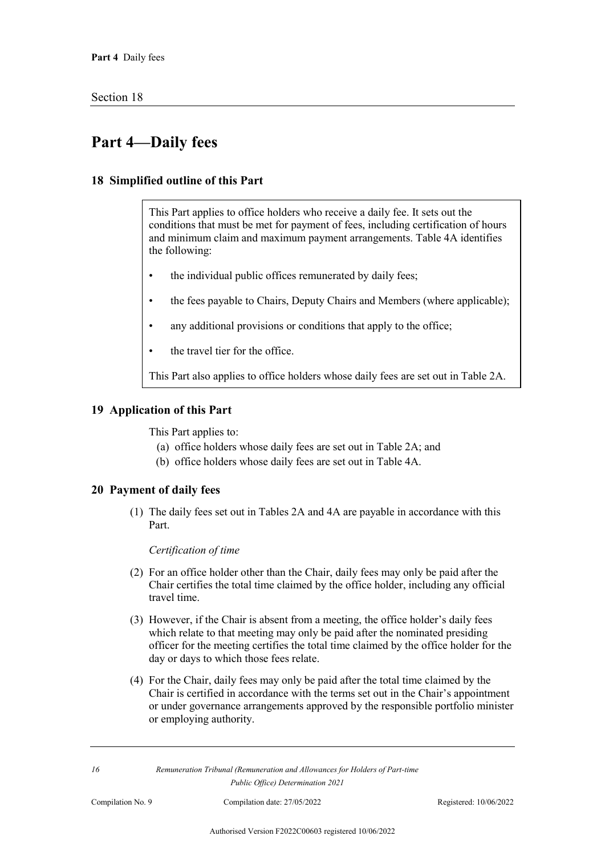## **Part 4—Daily fees**

#### **18 Simplified outline of this Part**

This Part applies to office holders who receive a daily fee. It sets out the conditions that must be met for payment of fees, including certification of hours and minimum claim and maximum payment arrangements. Table 4A identifies the following:

- the individual public offices remunerated by daily fees;
- the fees payable to Chairs, Deputy Chairs and Members (where applicable);
- any additional provisions or conditions that apply to the office;
- the travel tier for the office.

This Part also applies to office holders whose daily fees are set out in Table 2A.

#### **19 Application of this Part**

This Part applies to:

- (a) office holders whose daily fees are set out in Table 2A; and
- (b) office holders whose daily fees are set out in Table 4A.

#### **20 Payment of daily fees**

(1) The daily fees set out in Tables 2A and 4A are payable in accordance with this Part.

#### *Certification of time*

- (2) For an office holder other than the Chair, daily fees may only be paid after the Chair certifies the total time claimed by the office holder, including any official travel time.
- (3) However, if the Chair is absent from a meeting, the office holder's daily fees which relate to that meeting may only be paid after the nominated presiding officer for the meeting certifies the total time claimed by the office holder for the day or days to which those fees relate.
- (4) For the Chair, daily fees may only be paid after the total time claimed by the Chair is certified in accordance with the terms set out in the Chair's appointment or under governance arrangements approved by the responsible portfolio minister or employing authority.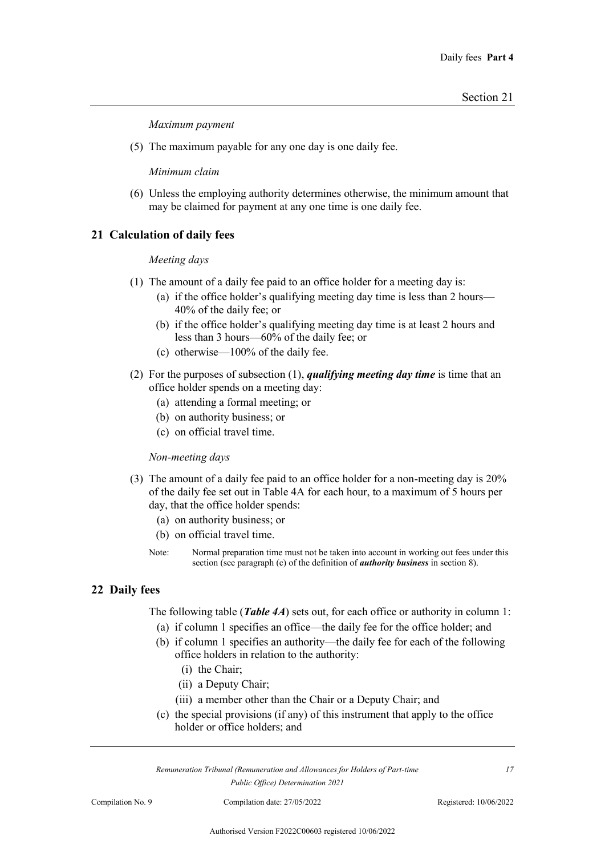*Maximum payment*

(5) The maximum payable for any one day is one daily fee.

*Minimum claim*

(6) Unless the employing authority determines otherwise, the minimum amount that may be claimed for payment at any one time is one daily fee.

#### **21 Calculation of daily fees**

#### *Meeting days*

- (1) The amount of a daily fee paid to an office holder for a meeting day is:
	- (a) if the office holder's qualifying meeting day time is less than 2 hours— 40% of the daily fee; or
	- (b) if the office holder's qualifying meeting day time is at least 2 hours and less than 3 hours—60% of the daily fee; or
	- (c) otherwise—100% of the daily fee.
- (2) For the purposes of subsection (1), *qualifying meeting day time* is time that an office holder spends on a meeting day:
	- (a) attending a formal meeting; or
	- (b) on authority business; or
	- (c) on official travel time.

#### *Non-meeting days*

- (3) The amount of a daily fee paid to an office holder for a non-meeting day is 20% of the daily fee set out in Table 4A for each hour, to a maximum of 5 hours per day, that the office holder spends:
	- (a) on authority business; or
	- (b) on official travel time.
	- Note: Normal preparation time must not be taken into account in working out fees under this section (see paragraph (c) of the definition of *authority business* in section 8).

#### **22 Daily fees**

The following table (*Table 4A*) sets out, for each office or authority in column 1:

- (a) if column 1 specifies an office—the daily fee for the office holder; and
- (b) if column 1 specifies an authority—the daily fee for each of the following office holders in relation to the authority:
	- (i) the Chair;
	- (ii) a Deputy Chair;
	- (iii) a member other than the Chair or a Deputy Chair; and
- (c) the special provisions (if any) of this instrument that apply to the office holder or office holders; and

*Remuneration Tribunal (Remuneration and Allowances for Holders of Part-time Public Office) Determination 2021*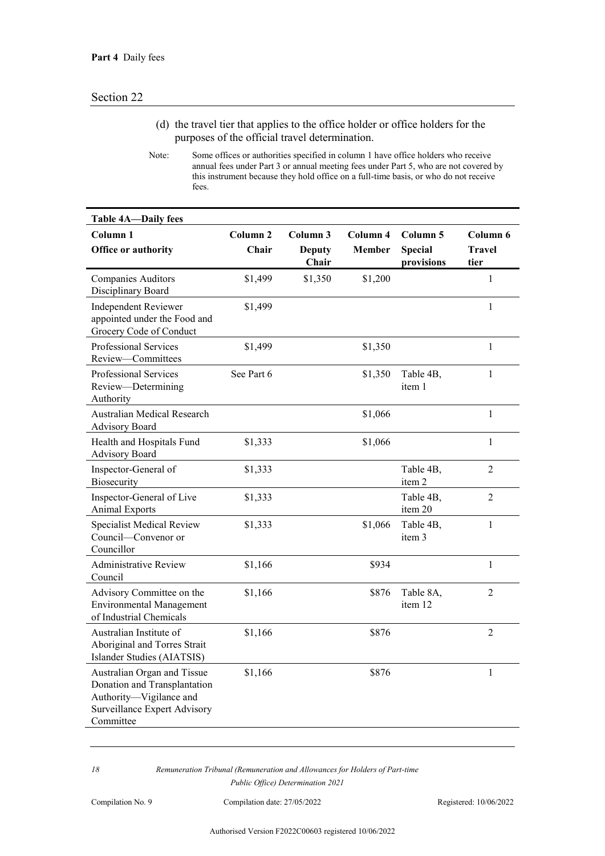- (d) the travel tier that applies to the office holder or office holders for the purposes of the official travel determination.
- Note: Some offices or authorities specified in column 1 have office holders who receive annual fees under Part 3 or annual meeting fees under Part 5, who are not covered by this instrument because they hold office on a full-time basis, or who do not receive fees.

| <b>Table 4A-Daily fees</b>                                                                                                                 |                              |                                    |                           |                                          |                                   |
|--------------------------------------------------------------------------------------------------------------------------------------------|------------------------------|------------------------------------|---------------------------|------------------------------------------|-----------------------------------|
| Column <sub>1</sub><br>Office or authority                                                                                                 | Column <sub>2</sub><br>Chair | Column 3<br><b>Deputy</b><br>Chair | Column 4<br><b>Member</b> | Column 5<br><b>Special</b><br>provisions | Column 6<br><b>Travel</b><br>tier |
| <b>Companies Auditors</b><br>Disciplinary Board                                                                                            | \$1,499                      | \$1,350                            | \$1,200                   |                                          | $\mathbf{1}$                      |
| <b>Independent Reviewer</b><br>appointed under the Food and<br>Grocery Code of Conduct                                                     | \$1,499                      |                                    |                           |                                          | $\mathbf{1}$                      |
| Professional Services<br>Review-Committees                                                                                                 | \$1,499                      |                                    | \$1,350                   |                                          | $\mathbf{1}$                      |
| Professional Services<br>Review-Determining<br>Authority                                                                                   | See Part 6                   |                                    | \$1,350                   | Table 4B,<br>item 1                      | $\mathbf{1}$                      |
| <b>Australian Medical Research</b><br><b>Advisory Board</b>                                                                                |                              |                                    | \$1,066                   |                                          | $\mathbf{1}$                      |
| Health and Hospitals Fund<br><b>Advisory Board</b>                                                                                         | \$1,333                      |                                    | \$1,066                   |                                          | $\mathbf{1}$                      |
| Inspector-General of<br>Biosecurity                                                                                                        | \$1,333                      |                                    |                           | Table 4B,<br>item 2                      | $\overline{2}$                    |
| Inspector-General of Live<br><b>Animal Exports</b>                                                                                         | \$1,333                      |                                    |                           | Table 4B,<br>item 20                     | $\overline{2}$                    |
| <b>Specialist Medical Review</b><br>Council-Convenor or<br>Councillor                                                                      | \$1,333                      |                                    | \$1,066                   | Table 4B,<br>item 3                      | $\mathbf{1}$                      |
| <b>Administrative Review</b><br>Council                                                                                                    | \$1,166                      |                                    | \$934                     |                                          | 1                                 |
| Advisory Committee on the<br><b>Environmental Management</b><br>of Industrial Chemicals                                                    | \$1,166                      |                                    | \$876                     | Table 8A,<br>item 12                     | 2                                 |
| Australian Institute of<br>Aboriginal and Torres Strait<br>Islander Studies (AIATSIS)                                                      | \$1,166                      |                                    | \$876                     |                                          | $\overline{2}$                    |
| Australian Organ and Tissue<br>Donation and Transplantation<br>Authority-Vigilance and<br><b>Surveillance Expert Advisory</b><br>Committee | \$1,166                      |                                    | \$876                     |                                          | $\mathbf{1}$                      |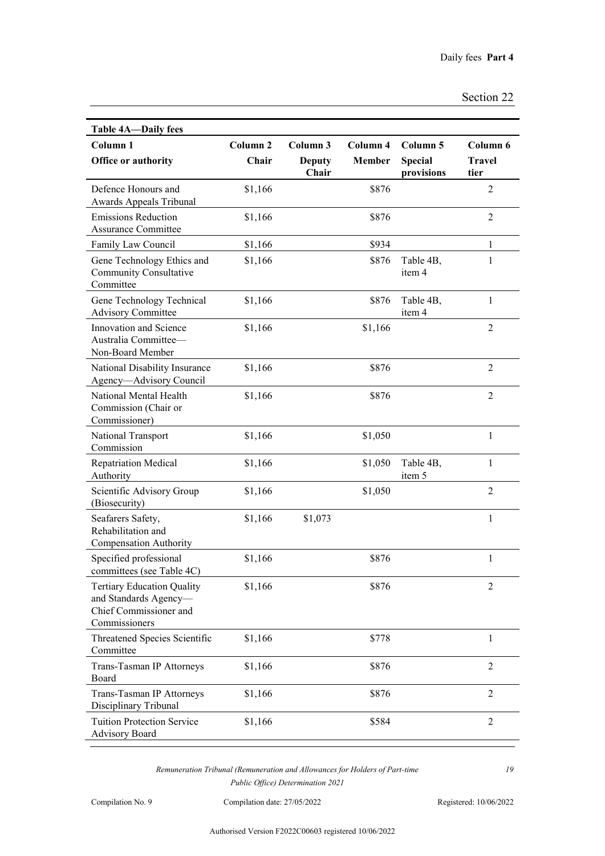| Section 22 |  |
|------------|--|
|------------|--|

| <b>Table 4A-Daily fees</b>                                                                            |                     |                        |               |                              |                       |
|-------------------------------------------------------------------------------------------------------|---------------------|------------------------|---------------|------------------------------|-----------------------|
| Column <sub>1</sub>                                                                                   | Column <sub>2</sub> | Column 3               | Column 4      | Column 5                     | Column 6              |
| Office or authority                                                                                   | Chair               | <b>Deputy</b><br>Chair | <b>Member</b> | <b>Special</b><br>provisions | <b>Travel</b><br>tier |
| Defence Honours and<br>Awards Appeals Tribunal                                                        | \$1,166             |                        | \$876         |                              | $\overline{2}$        |
| <b>Emissions Reduction</b><br><b>Assurance Committee</b>                                              | \$1,166             |                        | \$876         |                              | $\overline{2}$        |
| Family Law Council                                                                                    | \$1,166             |                        | \$934         |                              | $\mathbf{1}$          |
| Gene Technology Ethics and<br><b>Community Consultative</b><br>Committee                              | \$1,166             |                        | \$876         | Table 4B,<br>item 4          | $\mathbf{1}$          |
| Gene Technology Technical<br><b>Advisory Committee</b>                                                | \$1,166             |                        | \$876         | Table 4B,<br>item 4          | $\mathbf{1}$          |
| Innovation and Science<br>Australia Committee-<br>Non-Board Member                                    | \$1,166             |                        | \$1,166       |                              | $\overline{2}$        |
| National Disability Insurance<br>Agency-Advisory Council                                              | \$1,166             |                        | \$876         |                              | $\overline{2}$        |
| National Mental Health<br>Commission (Chair or<br>Commissioner)                                       | \$1,166             |                        | \$876         |                              | $\overline{2}$        |
| National Transport<br>Commission                                                                      | \$1,166             |                        | \$1,050       |                              | $\mathbf{1}$          |
| <b>Repatriation Medical</b><br>Authority                                                              | \$1,166             |                        | \$1,050       | Table 4B,<br>item 5          | $\mathbf{1}$          |
| Scientific Advisory Group<br>(Biosecurity)                                                            | \$1,166             |                        | \$1,050       |                              | $\overline{2}$        |
| Seafarers Safety,<br>Rehabilitation and<br>Compensation Authority                                     | \$1,166             | \$1,073                |               |                              | $\mathbf{1}$          |
| Specified professional<br>committees (see Table 4C)                                                   | \$1,166             |                        | \$876         |                              | $\mathbf{1}$          |
| <b>Tertiary Education Quality</b><br>and Standards Agency-<br>Chief Commissioner and<br>Commissioners | \$1,166             |                        | \$876         |                              | $\overline{2}$        |
| Threatened Species Scientific<br>Committee                                                            | \$1,166             |                        | \$778         |                              | 1                     |
| Trans-Tasman IP Attorneys<br>Board                                                                    | \$1,166             |                        | \$876         |                              | $\overline{2}$        |
| Trans-Tasman IP Attorneys<br>Disciplinary Tribunal                                                    | \$1,166             |                        | \$876         |                              | $\overline{2}$        |
| <b>Tuition Protection Service</b><br><b>Advisory Board</b>                                            | \$1,166             |                        | \$584         |                              | $\overline{2}$        |

Compilation No. 9 Compilation date: 27/05/2022 Registered: 10/06/2022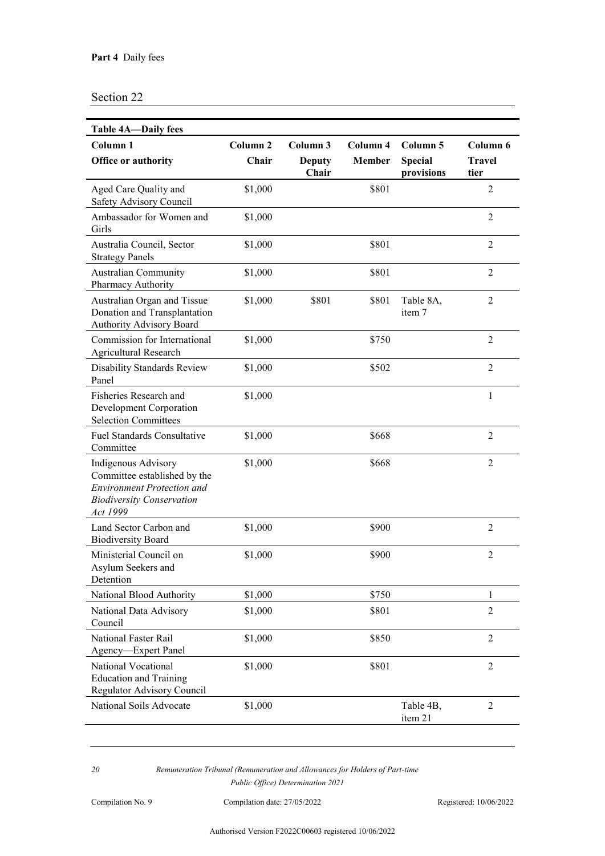| <b>Table 4A-Daily fees</b>                                                                                                               |                              |                                    |                           |                                          |                                   |
|------------------------------------------------------------------------------------------------------------------------------------------|------------------------------|------------------------------------|---------------------------|------------------------------------------|-----------------------------------|
| Column <sub>1</sub><br>Office or authority                                                                                               | Column <sub>2</sub><br>Chair | Column 3<br><b>Deputy</b><br>Chair | Column 4<br><b>Member</b> | Column 5<br><b>Special</b><br>provisions | Column 6<br><b>Travel</b><br>tier |
| Aged Care Quality and<br>Safety Advisory Council                                                                                         | \$1,000                      |                                    | \$801                     |                                          | $\overline{2}$                    |
| Ambassador for Women and<br>Girls                                                                                                        | \$1,000                      |                                    |                           |                                          | $\overline{2}$                    |
| Australia Council, Sector<br><b>Strategy Panels</b>                                                                                      | \$1,000                      |                                    | \$801                     |                                          | $\overline{2}$                    |
| <b>Australian Community</b><br>Pharmacy Authority                                                                                        | \$1,000                      |                                    | \$801                     |                                          | $\overline{2}$                    |
| Australian Organ and Tissue<br>Donation and Transplantation<br>Authority Advisory Board                                                  | \$1,000                      | \$801                              | \$801                     | Table 8A,<br>item 7                      | $\overline{2}$                    |
| Commission for International<br><b>Agricultural Research</b>                                                                             | \$1,000                      |                                    | \$750                     |                                          | $\overline{2}$                    |
| Disability Standards Review<br>Panel                                                                                                     | \$1,000                      |                                    | \$502                     |                                          | $\overline{2}$                    |
| Fisheries Research and<br>Development Corporation<br><b>Selection Committees</b>                                                         | \$1,000                      |                                    |                           |                                          | $\mathbf{1}$                      |
| <b>Fuel Standards Consultative</b><br>Committee                                                                                          | \$1,000                      |                                    | \$668                     |                                          | $\overline{2}$                    |
| Indigenous Advisory<br>Committee established by the<br><b>Environment Protection and</b><br><b>Biodiversity Conservation</b><br>Act 1999 | \$1,000                      |                                    | \$668                     |                                          | $\overline{2}$                    |
| Land Sector Carbon and<br><b>Biodiversity Board</b>                                                                                      | \$1,000                      |                                    | \$900                     |                                          | $\overline{2}$                    |
| Ministerial Council on<br>Asylum Seekers and<br>Detention                                                                                | \$1,000                      |                                    | \$900                     |                                          | $\overline{2}$                    |
| National Blood Authority                                                                                                                 | \$1,000                      |                                    | \$750                     |                                          | 1                                 |
| National Data Advisory<br>Council                                                                                                        | \$1,000                      |                                    | \$801                     |                                          | $\overline{2}$                    |
| National Faster Rail<br>Agency-Expert Panel                                                                                              | \$1,000                      |                                    | \$850                     |                                          | $\overline{2}$                    |
| National Vocational<br><b>Education and Training</b><br>Regulator Advisory Council                                                       | \$1,000                      |                                    | \$801                     |                                          | $\overline{2}$                    |
| National Soils Advocate                                                                                                                  | \$1,000                      |                                    |                           | Table 4B,<br>item 21                     | $\overline{2}$                    |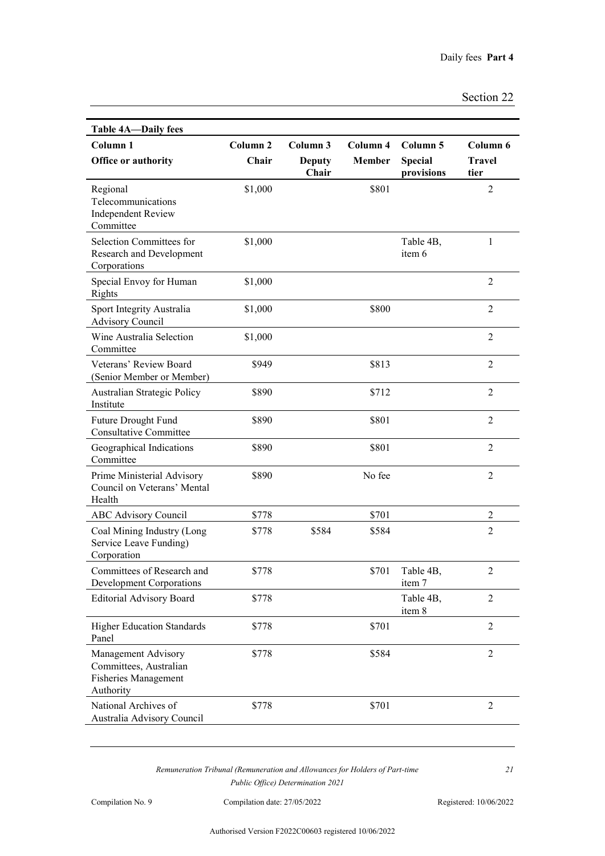| <b>Table 4A-Daily fees</b>                                                                |                              |                                    |                           |                                          |                                   |
|-------------------------------------------------------------------------------------------|------------------------------|------------------------------------|---------------------------|------------------------------------------|-----------------------------------|
| Column <sub>1</sub><br>Office or authority                                                | Column <sub>2</sub><br>Chair | Column 3<br><b>Deputy</b><br>Chair | Column 4<br><b>Member</b> | Column 5<br><b>Special</b><br>provisions | Column 6<br><b>Travel</b><br>tier |
| Regional<br>Telecommunications<br><b>Independent Review</b><br>Committee                  | \$1,000                      |                                    | \$801                     |                                          | $\overline{2}$                    |
| Selection Committees for<br>Research and Development<br>Corporations                      | \$1,000                      |                                    |                           | Table 4B,<br>item 6                      | 1                                 |
| Special Envoy for Human<br>Rights                                                         | \$1,000                      |                                    |                           |                                          | $\overline{2}$                    |
| Sport Integrity Australia<br><b>Advisory Council</b>                                      | \$1,000                      |                                    | \$800                     |                                          | $\overline{2}$                    |
| Wine Australia Selection<br>Committee                                                     | \$1,000                      |                                    |                           |                                          | $\overline{2}$                    |
| Veterans' Review Board<br>(Senior Member or Member)                                       | \$949                        |                                    | \$813                     |                                          | $\overline{2}$                    |
| Australian Strategic Policy<br>Institute                                                  | \$890                        |                                    | \$712                     |                                          | $\overline{2}$                    |
| Future Drought Fund<br><b>Consultative Committee</b>                                      | \$890                        |                                    | \$801                     |                                          | $\overline{2}$                    |
| Geographical Indications<br>Committee                                                     | \$890                        |                                    | \$801                     |                                          | $\overline{2}$                    |
| Prime Ministerial Advisory<br>Council on Veterans' Mental<br>Health                       | \$890                        |                                    | No fee                    |                                          | $\overline{2}$                    |
| <b>ABC Advisory Council</b>                                                               | \$778                        |                                    | \$701                     |                                          | 2                                 |
| Coal Mining Industry (Long<br>Service Leave Funding)<br>Corporation                       | \$778                        | \$584                              | \$584                     |                                          | $\overline{2}$                    |
| Committees of Research and<br><b>Development Corporations</b>                             | \$778                        |                                    | \$701                     | Table 4B.<br>item 7                      | 2                                 |
| <b>Editorial Advisory Board</b>                                                           | \$778                        |                                    |                           | Table 4B,<br>item 8                      | $\overline{2}$                    |
| <b>Higher Education Standards</b><br>Panel                                                | \$778                        |                                    | \$701                     |                                          | $\overline{2}$                    |
| Management Advisory<br>Committees, Australian<br><b>Fisheries Management</b><br>Authority | \$778                        |                                    | \$584                     |                                          | $\overline{2}$                    |
| National Archives of<br>Australia Advisory Council                                        | \$778                        |                                    | \$701                     |                                          | $\overline{2}$                    |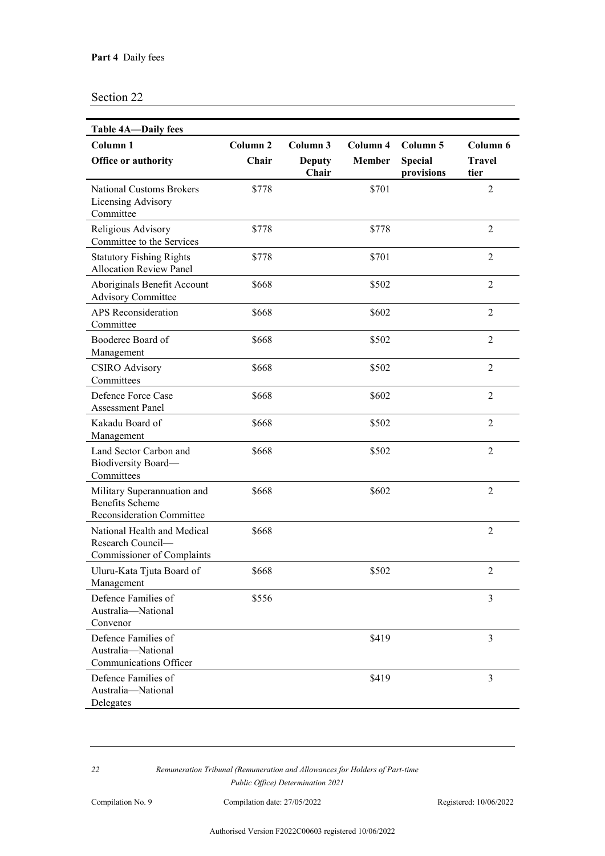| <b>Table 4A-Daily fees</b>                                                                |                              |                                    |                           |                                          |                                   |
|-------------------------------------------------------------------------------------------|------------------------------|------------------------------------|---------------------------|------------------------------------------|-----------------------------------|
| Column <sub>1</sub><br>Office or authority                                                | Column <sub>2</sub><br>Chair | Column 3<br><b>Deputy</b><br>Chair | Column 4<br><b>Member</b> | Column 5<br><b>Special</b><br>provisions | Column 6<br><b>Travel</b><br>tier |
| <b>National Customs Brokers</b><br>Licensing Advisory<br>Committee                        | \$778                        |                                    | \$701                     |                                          | $\overline{2}$                    |
| Religious Advisory<br>Committee to the Services                                           | \$778                        |                                    | \$778                     |                                          | $\overline{2}$                    |
| <b>Statutory Fishing Rights</b><br><b>Allocation Review Panel</b>                         | \$778                        |                                    | \$701                     |                                          | $\overline{2}$                    |
| Aboriginals Benefit Account<br><b>Advisory Committee</b>                                  | \$668                        |                                    | \$502                     |                                          | $\overline{2}$                    |
| <b>APS</b> Reconsideration<br>Committee                                                   | \$668                        |                                    | \$602                     |                                          | $\overline{2}$                    |
| Booderee Board of<br>Management                                                           | \$668                        |                                    | \$502                     |                                          | $\overline{2}$                    |
| <b>CSIRO</b> Advisory<br>Committees                                                       | \$668                        |                                    | \$502                     |                                          | $\overline{2}$                    |
| Defence Force Case<br><b>Assessment Panel</b>                                             | \$668                        |                                    | \$602                     |                                          | $\overline{2}$                    |
| Kakadu Board of<br>Management                                                             | \$668                        |                                    | \$502                     |                                          | $\overline{2}$                    |
| Land Sector Carbon and<br>Biodiversity Board-<br>Committees                               | \$668                        |                                    | \$502                     |                                          | $\overline{2}$                    |
| Military Superannuation and<br><b>Benefits Scheme</b><br><b>Reconsideration Committee</b> | \$668                        |                                    | \$602                     |                                          | $\overline{2}$                    |
| National Health and Medical<br>Research Council-<br><b>Commissioner of Complaints</b>     | \$668                        |                                    |                           |                                          | $\overline{2}$                    |
| Uluru-Kata Tjuta Board of<br>Management                                                   | \$668                        |                                    | \$502                     |                                          | $\overline{2}$                    |
| Defence Families of<br>Australia-National<br>Convenor                                     | \$556                        |                                    |                           |                                          | 3                                 |
| Defence Families of<br>Australia-National<br>Communications Officer                       |                              |                                    | \$419                     |                                          | 3                                 |
| Defence Families of<br>Australia-National<br>Delegates                                    |                              |                                    | \$419                     |                                          | $\overline{3}$                    |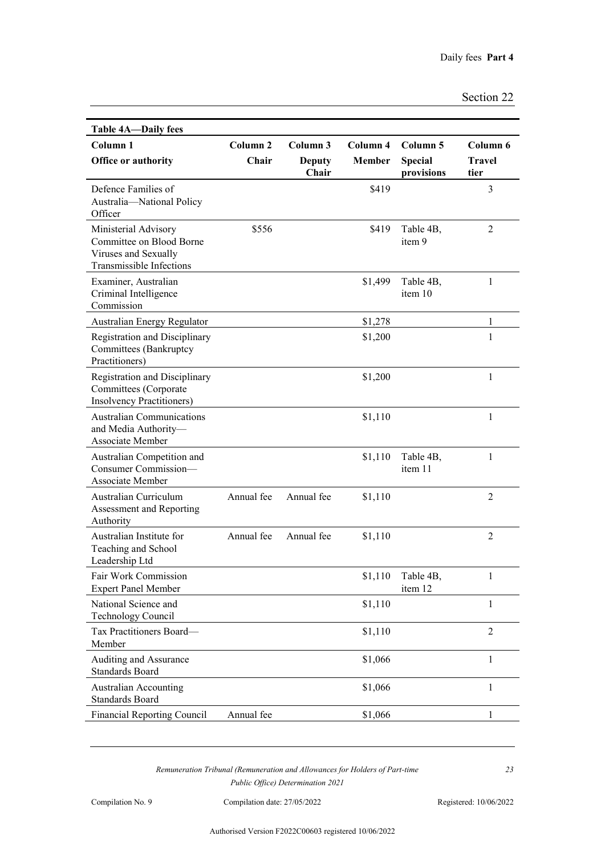| <b>Table 4A-Daily fees</b>                                                                           |                              |                                    |                           |                                          |                            |
|------------------------------------------------------------------------------------------------------|------------------------------|------------------------------------|---------------------------|------------------------------------------|----------------------------|
| Column <sub>1</sub><br>Office or authority                                                           | Column <sub>2</sub><br>Chair | Column 3<br><b>Deputy</b><br>Chair | Column 4<br><b>Member</b> | Column 5<br><b>Special</b><br>provisions | Column 6<br>Travel<br>tier |
| Defence Families of<br>Australia-National Policy<br>Officer                                          |                              |                                    | \$419                     |                                          | $\mathfrak{Z}$             |
| Ministerial Advisory<br>Committee on Blood Borne<br>Viruses and Sexually<br>Transmissible Infections | \$556                        |                                    | \$419                     | Table 4B,<br>item 9                      | $\overline{2}$             |
| Examiner, Australian<br>Criminal Intelligence<br>Commission                                          |                              |                                    | \$1,499                   | Table 4B,<br>item 10                     | 1                          |
| Australian Energy Regulator                                                                          |                              |                                    | \$1,278                   |                                          | 1                          |
| <b>Registration and Disciplinary</b><br>Committees (Bankruptcy<br>Practitioners)                     |                              |                                    | \$1,200                   |                                          | 1                          |
| <b>Registration and Disciplinary</b><br>Committees (Corporate<br><b>Insolvency Practitioners)</b>    |                              |                                    | \$1,200                   |                                          | 1                          |
| <b>Australian Communications</b><br>and Media Authority-<br>Associate Member                         |                              |                                    | \$1,110                   |                                          | $\mathbf{1}$               |
| Australian Competition and<br>Consumer Commission-<br>Associate Member                               |                              |                                    | \$1,110                   | Table 4B,<br>item 11                     | 1                          |
| Australian Curriculum<br>Assessment and Reporting<br>Authority                                       | Annual fee                   | Annual fee                         | \$1,110                   |                                          | $\overline{2}$             |
| Australian Institute for<br>Teaching and School<br>Leadership Ltd                                    | Annual fee                   | Annual fee                         | \$1,110                   |                                          | $\overline{2}$             |
| Fair Work Commission<br><b>Expert Panel Member</b>                                                   |                              |                                    | \$1,110                   | Table 4B,<br>item 12                     | 1                          |
| National Science and<br><b>Technology Council</b>                                                    |                              |                                    | \$1,110                   |                                          | $\mathbf{1}$               |
| Tax Practitioners Board-<br>Member                                                                   |                              |                                    | \$1,110                   |                                          | $\overline{2}$             |
| Auditing and Assurance<br><b>Standards Board</b>                                                     |                              |                                    | \$1,066                   |                                          | $\mathbf{1}$               |
| <b>Australian Accounting</b><br><b>Standards Board</b>                                               |                              |                                    | \$1,066                   |                                          | $\mathbf{1}$               |
| <b>Financial Reporting Council</b>                                                                   | Annual fee                   |                                    | \$1,066                   |                                          | 1                          |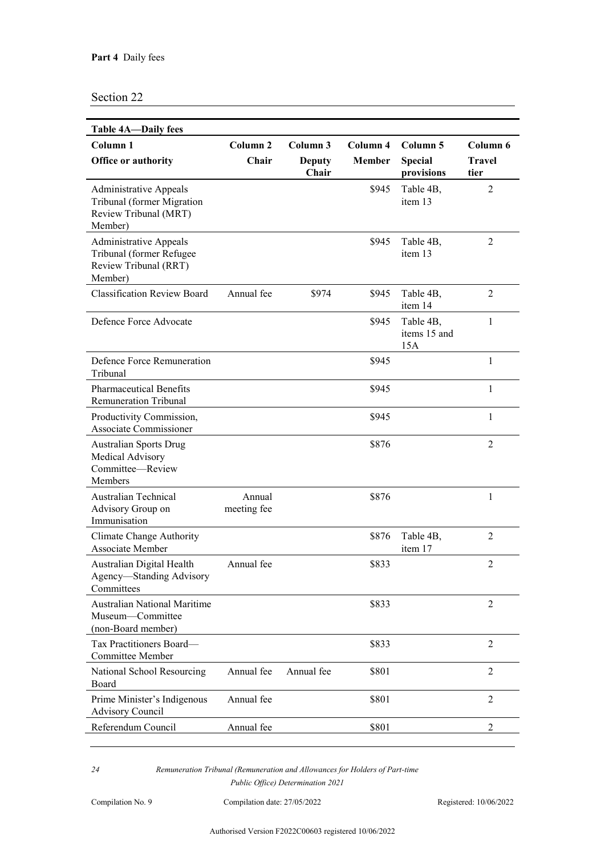| <b>Table 4A—Daily fees</b>                                                                      |                              |                                    |                           |                                          |                                   |
|-------------------------------------------------------------------------------------------------|------------------------------|------------------------------------|---------------------------|------------------------------------------|-----------------------------------|
| Column <sub>1</sub><br>Office or authority                                                      | Column <sub>2</sub><br>Chair | Column 3<br><b>Deputy</b><br>Chair | Column 4<br><b>Member</b> | Column 5<br><b>Special</b><br>provisions | Column 6<br><b>Travel</b><br>tier |
| <b>Administrative Appeals</b><br>Tribunal (former Migration<br>Review Tribunal (MRT)<br>Member) |                              |                                    | \$945                     | Table 4B,<br>item 13                     | $\overline{2}$                    |
| <b>Administrative Appeals</b><br>Tribunal (former Refugee<br>Review Tribunal (RRT)<br>Member)   |                              |                                    | \$945                     | Table 4B,<br>item 13                     | $\overline{2}$                    |
| <b>Classification Review Board</b>                                                              | Annual fee                   | \$974                              | \$945                     | Table 4B,<br>item 14                     | 2                                 |
| Defence Force Advocate                                                                          |                              |                                    | \$945                     | Table 4B,<br>items 15 and<br>15A         | $\mathbf{1}$                      |
| Defence Force Remuneration<br>Tribunal                                                          |                              |                                    | \$945                     |                                          | $\mathbf{1}$                      |
| <b>Pharmaceutical Benefits</b><br><b>Remuneration Tribunal</b>                                  |                              |                                    | \$945                     |                                          | $\mathbf{1}$                      |
| Productivity Commission,<br>Associate Commissioner                                              |                              |                                    | \$945                     |                                          | $\mathbf{1}$                      |
| <b>Australian Sports Drug</b><br>Medical Advisory<br>Committee-Review<br>Members                |                              |                                    | \$876                     |                                          | $\overline{2}$                    |
| <b>Australian Technical</b><br>Advisory Group on<br>Immunisation                                | Annual<br>meeting fee        |                                    | \$876                     |                                          | $\mathbf{1}$                      |
| Climate Change Authority<br><b>Associate Member</b>                                             |                              |                                    | \$876                     | Table 4B,<br>item 17                     | $\overline{2}$                    |
| Australian Digital Health<br>Agency-Standing Advisory<br>Committees                             | Annual fee                   |                                    | \$833                     |                                          | $\overline{2}$                    |
| <b>Australian National Maritime</b><br>Museum-Committee<br>(non-Board member)                   |                              |                                    | \$833                     |                                          | $\overline{2}$                    |
| Tax Practitioners Board-<br><b>Committee Member</b>                                             |                              |                                    | \$833                     |                                          | $\overline{2}$                    |
| National School Resourcing<br>Board                                                             | Annual fee                   | Annual fee                         | \$801                     |                                          | $\overline{2}$                    |
| Prime Minister's Indigenous<br><b>Advisory Council</b>                                          | Annual fee                   |                                    | \$801                     |                                          | $\overline{2}$                    |
| Referendum Council                                                                              | Annual fee                   |                                    | \$801                     |                                          | $\overline{2}$                    |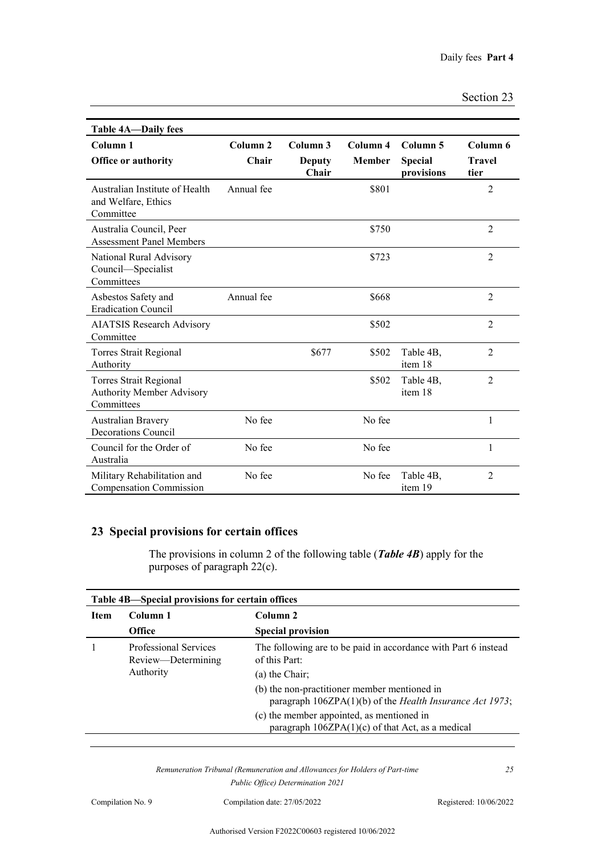| Section 23 |  |
|------------|--|
|            |  |

| <b>Table 4A-Daily fees</b>                                                      |                              |                                        |                           |                                          |                                   |
|---------------------------------------------------------------------------------|------------------------------|----------------------------------------|---------------------------|------------------------------------------|-----------------------------------|
| Column <sub>1</sub><br><b>Office or authority</b>                               | Column <sub>2</sub><br>Chair | Column <sub>3</sub><br>Deputy<br>Chair | Column 4<br><b>Member</b> | Column 5<br><b>Special</b><br>provisions | Column 6<br><b>Travel</b><br>tier |
| Australian Institute of Health<br>and Welfare, Ethics<br>Committee              | Annual fee                   |                                        | \$801                     |                                          | $\overline{2}$                    |
| Australia Council, Peer<br><b>Assessment Panel Members</b>                      |                              |                                        | \$750                     |                                          | $\overline{2}$                    |
| National Rural Advisory<br>Council—Specialist<br>Committees                     |                              |                                        | \$723                     |                                          | $\overline{2}$                    |
| Asbestos Safety and<br><b>Eradication Council</b>                               | Annual fee                   |                                        | \$668                     |                                          | $\overline{2}$                    |
| <b>AIATSIS Research Advisory</b><br>Committee                                   |                              |                                        | \$502                     |                                          | $\overline{2}$                    |
| Torres Strait Regional<br>Authority                                             |                              | \$677                                  | \$502                     | Table 4B,<br>item 18                     | $\overline{2}$                    |
| <b>Torres Strait Regional</b><br><b>Authority Member Advisory</b><br>Committees |                              |                                        | \$502                     | Table 4B,<br>item 18                     | $\overline{2}$                    |
| Australian Bravery<br>Decorations Council                                       | No fee                       |                                        | No fee                    |                                          | 1                                 |
| Council for the Order of<br>Australia                                           | No fee                       |                                        | No fee                    |                                          | 1                                 |
| Military Rehabilitation and<br><b>Compensation Commission</b>                   | No fee                       |                                        | No fee                    | Table 4B,<br>item 19                     | $\overline{2}$                    |

## **23 Special provisions for certain offices**

The provisions in column 2 of the following table (*Table 4B*) apply for the purposes of paragraph 22(c).

| Table 4B—Special provisions for certain offices |                                                                 |                                                                                                                                                                                                                         |  |
|-------------------------------------------------|-----------------------------------------------------------------|-------------------------------------------------------------------------------------------------------------------------------------------------------------------------------------------------------------------------|--|
| <b>Item</b>                                     | Column 1                                                        | Column 2                                                                                                                                                                                                                |  |
|                                                 | <b>Office</b>                                                   | <b>Special provision</b>                                                                                                                                                                                                |  |
|                                                 | <b>Professional Services</b><br>Review—Determining<br>Authority | The following are to be paid in accordance with Part 6 instead<br>of this Part:<br>(a) the Chair:<br>(b) the non-practitioner member mentioned in<br>paragraph $106ZPA(1)(b)$ of the <i>Health Insurance Act 1973</i> ; |  |
|                                                 |                                                                 | (c) the member appointed, as mentioned in<br>paragraph $106ZPA(1)(c)$ of that Act, as a medical                                                                                                                         |  |

*Remuneration Tribunal (Remuneration and Allowances for Holders of Part-time Public Office) Determination 2021*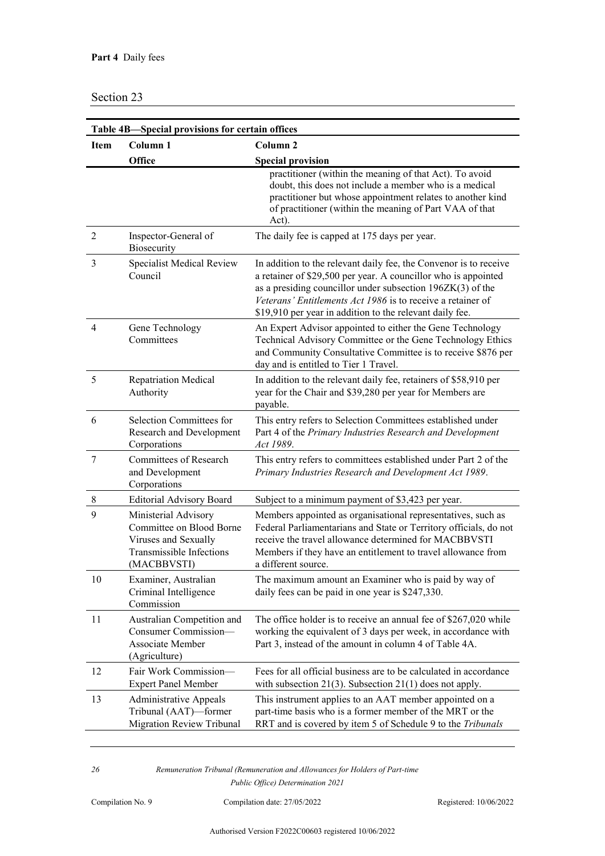| Table 4B-Special provisions for certain offices |                                                                                                                     |                                                                                                                                                                                                                                                                                                                                |  |
|-------------------------------------------------|---------------------------------------------------------------------------------------------------------------------|--------------------------------------------------------------------------------------------------------------------------------------------------------------------------------------------------------------------------------------------------------------------------------------------------------------------------------|--|
| <b>Item</b>                                     | Column <sub>1</sub>                                                                                                 | Column <sub>2</sub>                                                                                                                                                                                                                                                                                                            |  |
|                                                 | Office                                                                                                              | <b>Special provision</b>                                                                                                                                                                                                                                                                                                       |  |
|                                                 |                                                                                                                     | practitioner (within the meaning of that Act). To avoid<br>doubt, this does not include a member who is a medical<br>practitioner but whose appointment relates to another kind<br>of practitioner (within the meaning of Part VAA of that<br>Act).                                                                            |  |
| 2                                               | Inspector-General of<br>Biosecurity                                                                                 | The daily fee is capped at 175 days per year.                                                                                                                                                                                                                                                                                  |  |
| 3                                               | Specialist Medical Review<br>Council                                                                                | In addition to the relevant daily fee, the Convenor is to receive<br>a retainer of \$29,500 per year. A councillor who is appointed<br>as a presiding councillor under subsection $196ZK(3)$ of the<br>Veterans' Entitlements Act 1986 is to receive a retainer of<br>\$19,910 per year in addition to the relevant daily fee. |  |
| $\overline{4}$                                  | Gene Technology<br>Committees                                                                                       | An Expert Advisor appointed to either the Gene Technology<br>Technical Advisory Committee or the Gene Technology Ethics<br>and Community Consultative Committee is to receive \$876 per<br>day and is entitled to Tier 1 Travel.                                                                                               |  |
| 5                                               | <b>Repatriation Medical</b><br>Authority                                                                            | In addition to the relevant daily fee, retainers of \$58,910 per<br>year for the Chair and \$39,280 per year for Members are<br>payable.                                                                                                                                                                                       |  |
| 6                                               | Selection Committees for<br>Research and Development<br>Corporations                                                | This entry refers to Selection Committees established under<br>Part 4 of the Primary Industries Research and Development<br>Act 1989.                                                                                                                                                                                          |  |
| 7                                               | Committees of Research<br>and Development<br>Corporations                                                           | This entry refers to committees established under Part 2 of the<br>Primary Industries Research and Development Act 1989.                                                                                                                                                                                                       |  |
| 8                                               | <b>Editorial Advisory Board</b>                                                                                     | Subject to a minimum payment of \$3,423 per year.                                                                                                                                                                                                                                                                              |  |
| 9                                               | Ministerial Advisory<br>Committee on Blood Borne<br>Viruses and Sexually<br>Transmissible Infections<br>(MACBBVSTI) | Members appointed as organisational representatives, such as<br>Federal Parliamentarians and State or Territory officials, do not<br>receive the travel allowance determined for MACBBVSTI<br>Members if they have an entitlement to travel allowance from<br>a different source.                                              |  |
| 10                                              | Examiner, Australian<br>Criminal Intelligence<br>Commission                                                         | The maximum amount an Examiner who is paid by way of<br>daily fees can be paid in one year is \$247,330.                                                                                                                                                                                                                       |  |
| 11                                              | Australian Competition and<br>Consumer Commission-<br>Associate Member<br>(Agriculture)                             | The office holder is to receive an annual fee of \$267,020 while<br>working the equivalent of 3 days per week, in accordance with<br>Part 3, instead of the amount in column 4 of Table 4A.                                                                                                                                    |  |
| 12                                              | Fair Work Commission-<br><b>Expert Panel Member</b>                                                                 | Fees for all official business are to be calculated in accordance<br>with subsection $21(3)$ . Subsection $21(1)$ does not apply.                                                                                                                                                                                              |  |
| 13                                              | <b>Administrative Appeals</b><br>Tribunal (AAT)-former<br><b>Migration Review Tribunal</b>                          | This instrument applies to an AAT member appointed on a<br>part-time basis who is a former member of the MRT or the<br>RRT and is covered by item 5 of Schedule 9 to the Tribunals                                                                                                                                             |  |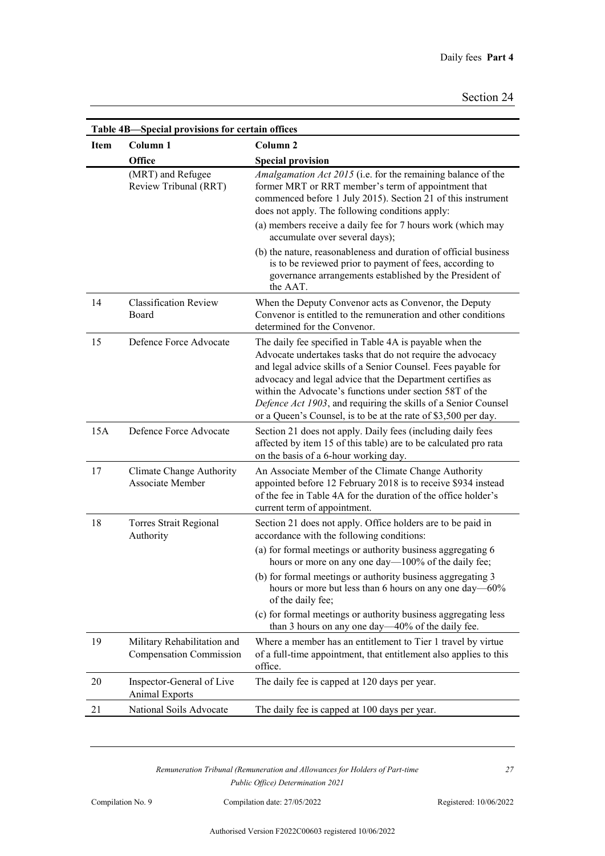|             | Table 4B-Special provisions for certain offices               |                                                                                                                                                                                                                                                                                                                                                                                                                                                      |
|-------------|---------------------------------------------------------------|------------------------------------------------------------------------------------------------------------------------------------------------------------------------------------------------------------------------------------------------------------------------------------------------------------------------------------------------------------------------------------------------------------------------------------------------------|
| <b>Item</b> | Column <sub>1</sub>                                           | Column <sub>2</sub>                                                                                                                                                                                                                                                                                                                                                                                                                                  |
|             | Office                                                        | <b>Special provision</b>                                                                                                                                                                                                                                                                                                                                                                                                                             |
|             | (MRT) and Refugee<br>Review Tribunal (RRT)                    | Amalgamation Act 2015 (i.e. for the remaining balance of the<br>former MRT or RRT member's term of appointment that<br>commenced before 1 July 2015). Section 21 of this instrument<br>does not apply. The following conditions apply:<br>(a) members receive a daily fee for 7 hours work (which may                                                                                                                                                |
|             |                                                               | accumulate over several days);                                                                                                                                                                                                                                                                                                                                                                                                                       |
|             |                                                               | (b) the nature, reasonableness and duration of official business<br>is to be reviewed prior to payment of fees, according to<br>governance arrangements established by the President of<br>the AAT.                                                                                                                                                                                                                                                  |
| 14          | <b>Classification Review</b><br>Board                         | When the Deputy Convenor acts as Convenor, the Deputy<br>Convenor is entitled to the remuneration and other conditions<br>determined for the Convenor.                                                                                                                                                                                                                                                                                               |
| 15          | Defence Force Advocate                                        | The daily fee specified in Table 4A is payable when the<br>Advocate undertakes tasks that do not require the advocacy<br>and legal advice skills of a Senior Counsel. Fees payable for<br>advocacy and legal advice that the Department certifies as<br>within the Advocate's functions under section 58T of the<br>Defence Act 1903, and requiring the skills of a Senior Counsel<br>or a Queen's Counsel, is to be at the rate of \$3,500 per day. |
| 15A         | Defence Force Advocate                                        | Section 21 does not apply. Daily fees (including daily fees<br>affected by item 15 of this table) are to be calculated pro rata<br>on the basis of a 6-hour working day.                                                                                                                                                                                                                                                                             |
| 17          | <b>Climate Change Authority</b><br><b>Associate Member</b>    | An Associate Member of the Climate Change Authority<br>appointed before 12 February 2018 is to receive \$934 instead<br>of the fee in Table 4A for the duration of the office holder's<br>current term of appointment.                                                                                                                                                                                                                               |
| 18          | Torres Strait Regional<br>Authority                           | Section 21 does not apply. Office holders are to be paid in<br>accordance with the following conditions:                                                                                                                                                                                                                                                                                                                                             |
|             |                                                               | (a) for formal meetings or authority business aggregating 6<br>hours or more on any one day—100% of the daily fee;                                                                                                                                                                                                                                                                                                                                   |
|             |                                                               | (b) for formal meetings or authority business aggregating 3<br>hours or more but less than 6 hours on any one day—60%<br>of the daily fee;                                                                                                                                                                                                                                                                                                           |
|             |                                                               | (c) for formal meetings or authority business aggregating less<br>than 3 hours on any one day—40% of the daily fee.                                                                                                                                                                                                                                                                                                                                  |
| 19          | Military Rehabilitation and<br><b>Compensation Commission</b> | Where a member has an entitlement to Tier 1 travel by virtue<br>of a full-time appointment, that entitlement also applies to this<br>office.                                                                                                                                                                                                                                                                                                         |
| 20          | Inspector-General of Live<br><b>Animal Exports</b>            | The daily fee is capped at 120 days per year.                                                                                                                                                                                                                                                                                                                                                                                                        |
| 21          | National Soils Advocate                                       | The daily fee is capped at 100 days per year.                                                                                                                                                                                                                                                                                                                                                                                                        |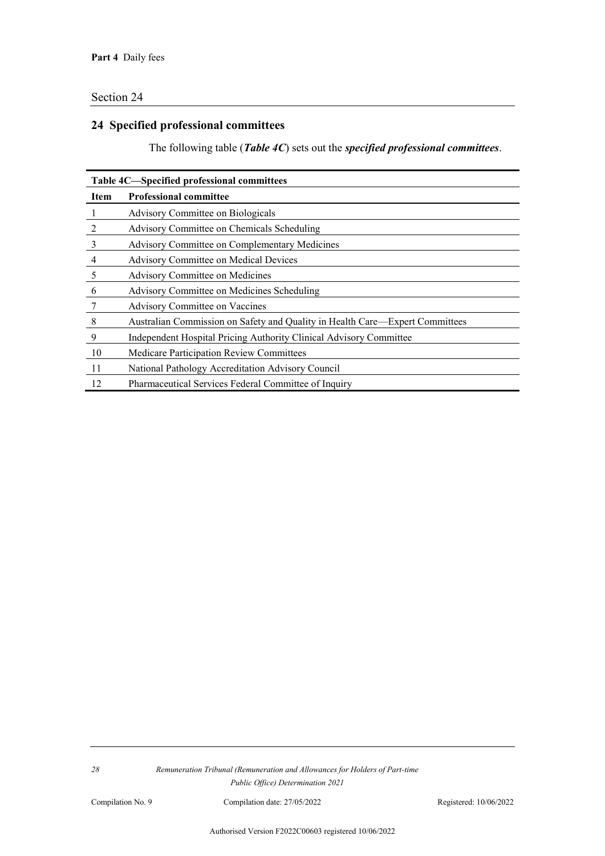## **24 Specified professional committees**

The following table (*Table 4C*) sets out the *specified professional committees*.

| Table 4C—Specified professional committees |                                                                              |  |  |
|--------------------------------------------|------------------------------------------------------------------------------|--|--|
| <b>Item</b>                                | <b>Professional committee</b>                                                |  |  |
| 1                                          | Advisory Committee on Biologicals                                            |  |  |
| $\overline{2}$                             | Advisory Committee on Chemicals Scheduling                                   |  |  |
| 3                                          | Advisory Committee on Complementary Medicines                                |  |  |
| 4                                          | <b>Advisory Committee on Medical Devices</b>                                 |  |  |
| 5                                          | Advisory Committee on Medicines                                              |  |  |
| 6                                          | Advisory Committee on Medicines Scheduling                                   |  |  |
|                                            | <b>Advisory Committee on Vaccines</b>                                        |  |  |
| 8                                          | Australian Commission on Safety and Quality in Health Care—Expert Committees |  |  |
| 9                                          | Independent Hospital Pricing Authority Clinical Advisory Committee           |  |  |
| 10                                         | <b>Medicare Participation Review Committees</b>                              |  |  |
| 11                                         | National Pathology Accreditation Advisory Council                            |  |  |
| 12                                         | Pharmaceutical Services Federal Committee of Inquiry                         |  |  |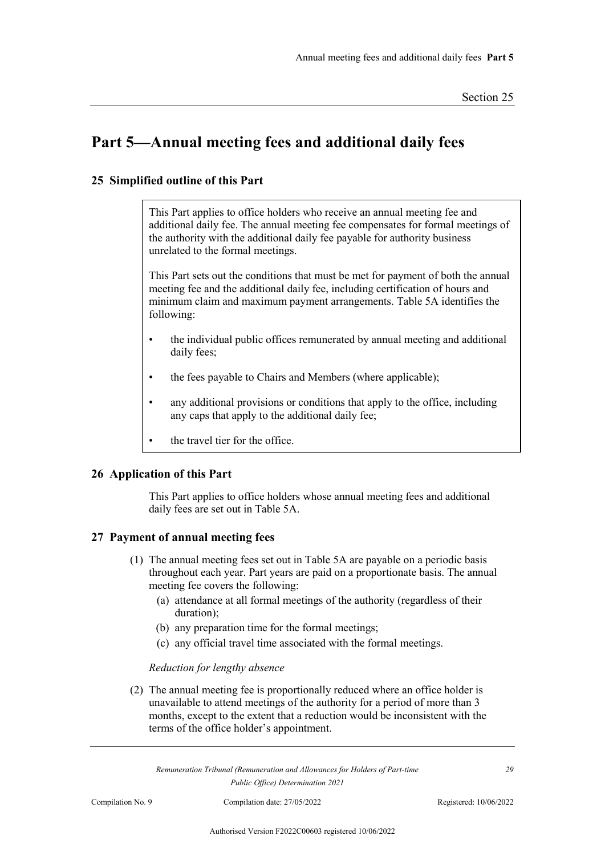## **Part 5—Annual meeting fees and additional daily fees**

#### **25 Simplified outline of this Part**

This Part applies to office holders who receive an annual meeting fee and additional daily fee. The annual meeting fee compensates for formal meetings of the authority with the additional daily fee payable for authority business unrelated to the formal meetings.

This Part sets out the conditions that must be met for payment of both the annual meeting fee and the additional daily fee, including certification of hours and minimum claim and maximum payment arrangements. Table 5A identifies the following:

- the individual public offices remunerated by annual meeting and additional daily fees;
- the fees payable to Chairs and Members (where applicable);
- any additional provisions or conditions that apply to the office, including any caps that apply to the additional daily fee;
- the travel tier for the office.

#### **26 Application of this Part**

This Part applies to office holders whose annual meeting fees and additional daily fees are set out in Table 5A.

#### **27 Payment of annual meeting fees**

- (1) The annual meeting fees set out in Table 5A are payable on a periodic basis throughout each year. Part years are paid on a proportionate basis. The annual meeting fee covers the following:
	- (a) attendance at all formal meetings of the authority (regardless of their duration);
	- (b) any preparation time for the formal meetings;
	- (c) any official travel time associated with the formal meetings.

#### *Reduction for lengthy absence*

(2) The annual meeting fee is proportionally reduced where an office holder is unavailable to attend meetings of the authority for a period of more than 3 months, except to the extent that a reduction would be inconsistent with the terms of the office holder's appointment.

*Remuneration Tribunal (Remuneration and Allowances for Holders of Part-time Public Office) Determination 2021*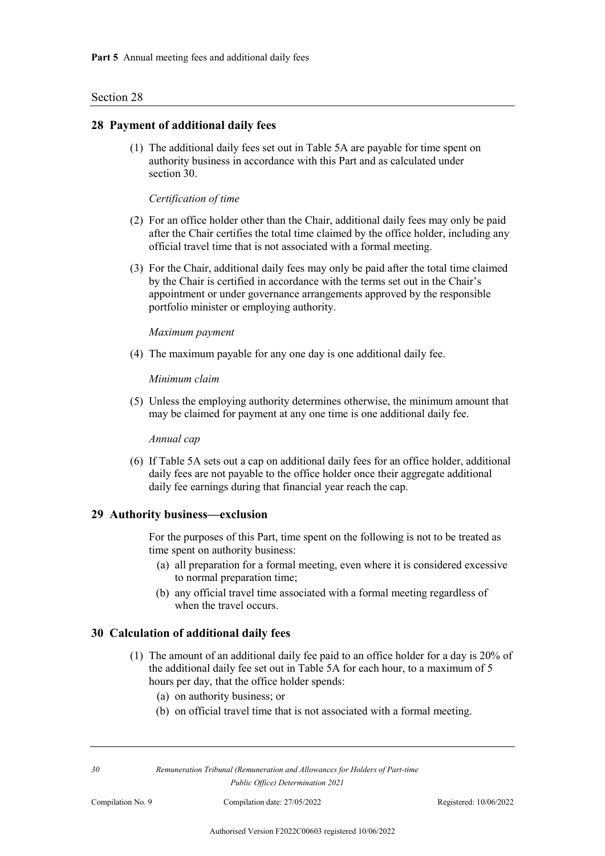#### **28 Payment of additional daily fees**

(1) The additional daily fees set out in Table 5A are payable for time spent on authority business in accordance with this Part and as calculated under section 30.

#### *Certification of time*

- (2) For an office holder other than the Chair, additional daily fees may only be paid after the Chair certifies the total time claimed by the office holder, including any official travel time that is not associated with a formal meeting.
- (3) For the Chair, additional daily fees may only be paid after the total time claimed by the Chair is certified in accordance with the terms set out in the Chair's appointment or under governance arrangements approved by the responsible portfolio minister or employing authority.

#### *Maximum payment*

(4) The maximum payable for any one day is one additional daily fee.

*Minimum claim*

(5) Unless the employing authority determines otherwise, the minimum amount that may be claimed for payment at any one time is one additional daily fee.

*Annual cap*

(6) If Table 5A sets out a cap on additional daily fees for an office holder, additional daily fees are not payable to the office holder once their aggregate additional daily fee earnings during that financial year reach the cap.

#### **29 Authority business—exclusion**

For the purposes of this Part, time spent on the following is not to be treated as time spent on authority business:

- (a) all preparation for a formal meeting, even where it is considered excessive to normal preparation time;
- (b) any official travel time associated with a formal meeting regardless of when the travel occurs.

#### **30 Calculation of additional daily fees**

- (1) The amount of an additional daily fee paid to an office holder for a day is 20% of the additional daily fee set out in Table 5A for each hour, to a maximum of 5 hours per day, that the office holder spends:
	- (a) on authority business; or
	- (b) on official travel time that is not associated with a formal meeting.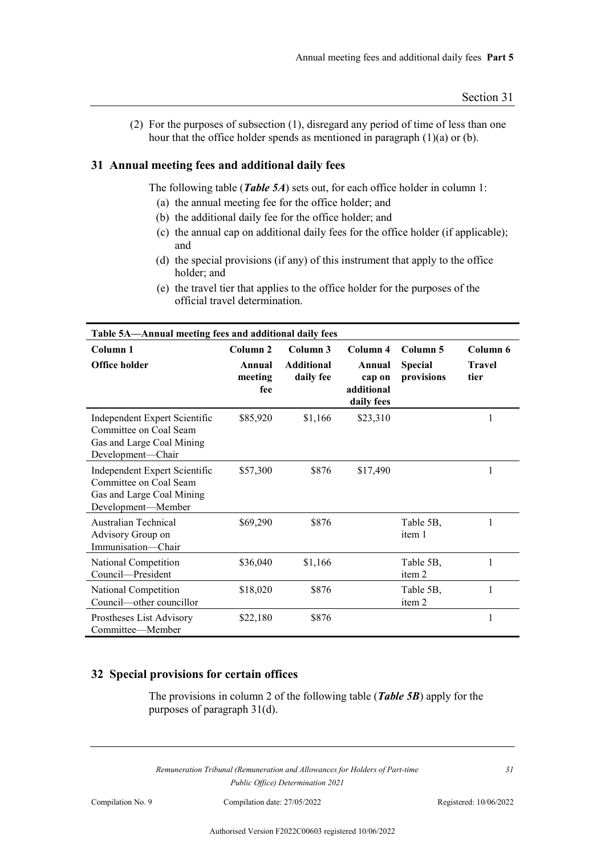(2) For the purposes of subsection (1), disregard any period of time of less than one hour that the office holder spends as mentioned in paragraph (1)(a) or (b).

#### **31 Annual meeting fees and additional daily fees**

The following table (*Table 5A*) sets out, for each office holder in column 1:

- (a) the annual meeting fee for the office holder; and
- (b) the additional daily fee for the office holder; and
- (c) the annual cap on additional daily fees for the office holder (if applicable); and
- (d) the special provisions (if any) of this instrument that apply to the office holder; and
- (e) the travel tier that applies to the office holder for the purposes of the official travel determination.

| Table 5A-Annual meeting fees and additional daily fees                                                     |                                                 |                                            |                                                          |                                          |                                   |
|------------------------------------------------------------------------------------------------------------|-------------------------------------------------|--------------------------------------------|----------------------------------------------------------|------------------------------------------|-----------------------------------|
| Column <sub>1</sub><br>Office holder                                                                       | Column <sub>2</sub><br>Annual<br>meeting<br>fee | Column 3<br><b>Additional</b><br>daily fee | Column 4<br>Annual<br>cap on<br>additional<br>daily fees | Column 5<br><b>Special</b><br>provisions | Column 6<br><b>Travel</b><br>tier |
| Independent Expert Scientific<br>Committee on Coal Seam<br>Gas and Large Coal Mining<br>Development-Chair  | \$85,920                                        | \$1,166                                    | \$23,310                                                 |                                          | 1                                 |
| Independent Expert Scientific<br>Committee on Coal Seam<br>Gas and Large Coal Mining<br>Development-Member | \$57,300                                        | \$876                                      | \$17,490                                                 |                                          | 1                                 |
| Australian Technical<br>Advisory Group on<br>Immunisation-Chair                                            | \$69,290                                        | \$876                                      |                                                          | Table 5B,<br>item 1                      | 1                                 |
| National Competition<br>Council-President                                                                  | \$36,040                                        | \$1,166                                    |                                                          | Table 5B,<br>item 2                      | 1                                 |
| National Competition<br>Council—other councillor                                                           | \$18,020                                        | \$876                                      |                                                          | Table 5B,<br>item 2                      | 1                                 |
| Prostheses List Advisory<br>Committee—Member                                                               | \$22,180                                        | \$876                                      |                                                          |                                          | 1                                 |

#### **32 Special provisions for certain offices**

The provisions in column 2 of the following table (*Table 5B*) apply for the purposes of paragraph 31(d).

*Remuneration Tribunal (Remuneration and Allowances for Holders of Part-time Public Office) Determination 2021*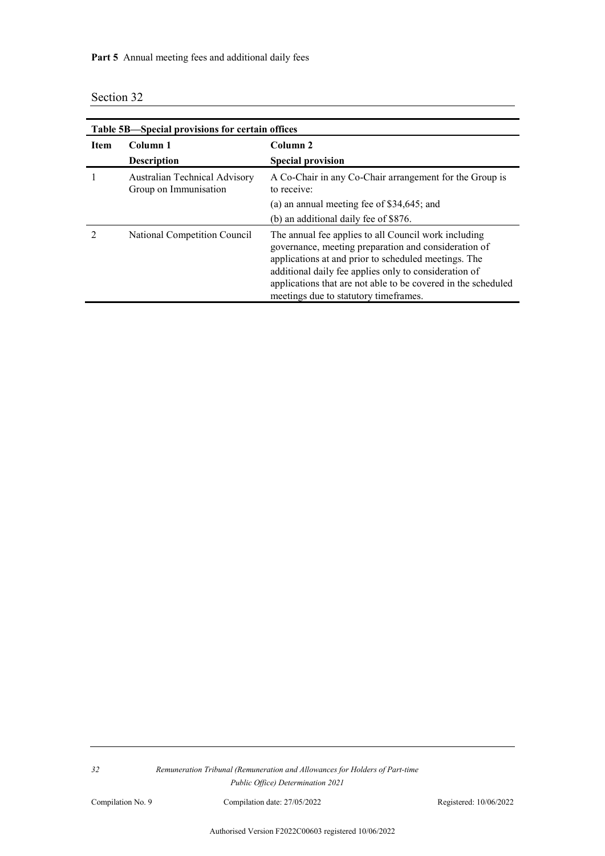Part 5 Annual meeting fees and additional daily fees

|  | Section 32 |  |
|--|------------|--|
|--|------------|--|

| Table 5B—Special provisions for certain offices |                                                        |                                                                                                                                                                                                                                                                                                                                         |  |
|-------------------------------------------------|--------------------------------------------------------|-----------------------------------------------------------------------------------------------------------------------------------------------------------------------------------------------------------------------------------------------------------------------------------------------------------------------------------------|--|
| <b>Item</b>                                     | Column 1                                               | Column <sub>2</sub>                                                                                                                                                                                                                                                                                                                     |  |
|                                                 | <b>Description</b>                                     | <b>Special provision</b>                                                                                                                                                                                                                                                                                                                |  |
|                                                 | Australian Technical Advisory<br>Group on Immunisation | A Co-Chair in any Co-Chair arrangement for the Group is<br>to receive:                                                                                                                                                                                                                                                                  |  |
|                                                 |                                                        | (a) an annual meeting fee of \$34,645; and                                                                                                                                                                                                                                                                                              |  |
|                                                 |                                                        | (b) an additional daily fee of \$876.                                                                                                                                                                                                                                                                                                   |  |
|                                                 | National Competition Council                           | The annual fee applies to all Council work including<br>governance, meeting preparation and consideration of<br>applications at and prior to scheduled meetings. The<br>additional daily fee applies only to consideration of<br>applications that are not able to be covered in the scheduled<br>meetings due to statutory timeframes. |  |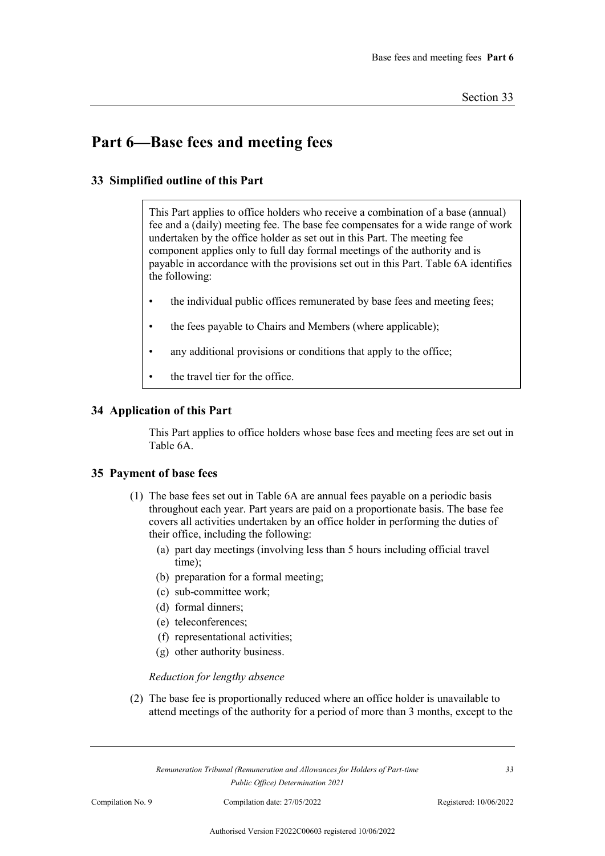## **Part 6—Base fees and meeting fees**

#### **33 Simplified outline of this Part**

This Part applies to office holders who receive a combination of a base (annual) fee and a (daily) meeting fee. The base fee compensates for a wide range of work undertaken by the office holder as set out in this Part. The meeting fee component applies only to full day formal meetings of the authority and is payable in accordance with the provisions set out in this Part. Table 6A identifies the following:

- the individual public offices remunerated by base fees and meeting fees;
- the fees payable to Chairs and Members (where applicable);
- any additional provisions or conditions that apply to the office;
- the travel tier for the office.

#### **34 Application of this Part**

This Part applies to office holders whose base fees and meeting fees are set out in Table 6A.

#### **35 Payment of base fees**

- (1) The base fees set out in Table 6A are annual fees payable on a periodic basis throughout each year. Part years are paid on a proportionate basis. The base fee covers all activities undertaken by an office holder in performing the duties of their office, including the following:
	- (a) part day meetings (involving less than 5 hours including official travel time);
	- (b) preparation for a formal meeting;
	- (c) sub-committee work;
	- (d) formal dinners;
	- (e) teleconferences;
	- (f) representational activities;
	- (g) other authority business.

#### *Reduction for lengthy absence*

(2) The base fee is proportionally reduced where an office holder is unavailable to attend meetings of the authority for a period of more than 3 months, except to the

*Remuneration Tribunal (Remuneration and Allowances for Holders of Part-time Public Office) Determination 2021*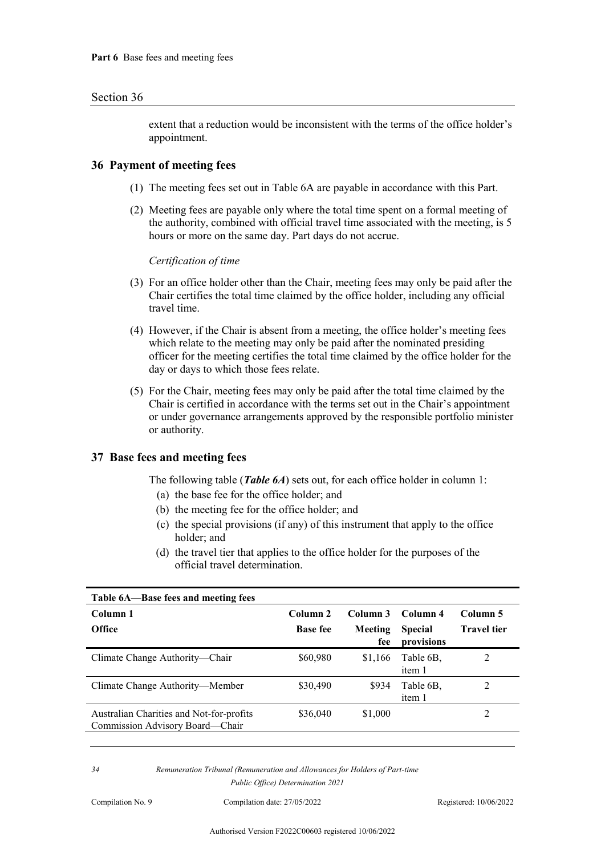extent that a reduction would be inconsistent with the terms of the office holder's appointment.

#### **36 Payment of meeting fees**

- (1) The meeting fees set out in Table 6A are payable in accordance with this Part.
- (2) Meeting fees are payable only where the total time spent on a formal meeting of the authority, combined with official travel time associated with the meeting, is 5 hours or more on the same day. Part days do not accrue.

*Certification of time*

- (3) For an office holder other than the Chair, meeting fees may only be paid after the Chair certifies the total time claimed by the office holder, including any official travel time.
- (4) However, if the Chair is absent from a meeting, the office holder's meeting fees which relate to the meeting may only be paid after the nominated presiding officer for the meeting certifies the total time claimed by the office holder for the day or days to which those fees relate.
- (5) For the Chair, meeting fees may only be paid after the total time claimed by the Chair is certified in accordance with the terms set out in the Chair's appointment or under governance arrangements approved by the responsible portfolio minister or authority.

#### **37 Base fees and meeting fees**

The following table (*Table 6A*) sets out, for each office holder in column 1:

- (a) the base fee for the office holder; and
- (b) the meeting fee for the office holder; and
- (c) the special provisions (if any) of this instrument that apply to the office holder; and
- (d) the travel tier that applies to the office holder for the purposes of the official travel determination.

| Table 6A—Base fees and meeting fees                                         |                                        |                                   |                                          |                                |
|-----------------------------------------------------------------------------|----------------------------------------|-----------------------------------|------------------------------------------|--------------------------------|
| Column 1<br><b>Office</b>                                                   | Column <sub>2</sub><br><b>Base fee</b> | Column 3<br><b>Meeting</b><br>fee | Column 4<br><b>Special</b><br>provisions | Column 5<br><b>Travel tier</b> |
| Climate Change Authority—Chair                                              | \$60,980                               | \$1,166                           | Table 6B.<br>item 1                      | 2                              |
| Climate Change Authority—Member                                             | \$30,490                               | \$934                             | Table 6B.<br>item 1                      | 2                              |
| Australian Charities and Not-for-profits<br>Commission Advisory Board—Chair | \$36,040                               | \$1,000                           |                                          | 2                              |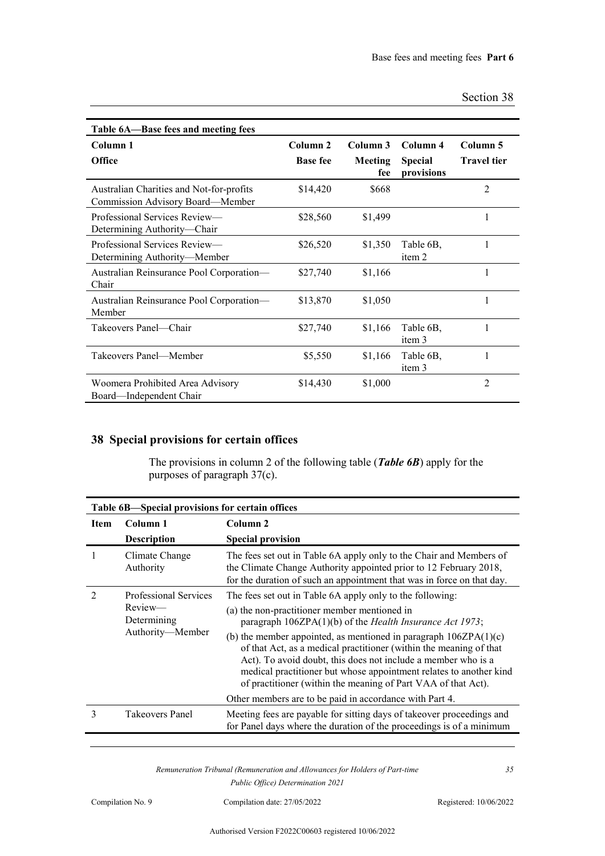| Section 38 |
|------------|
|------------|

| Table 6A-Base fees and meeting fees                                          |                             |                            |                                          |                                |
|------------------------------------------------------------------------------|-----------------------------|----------------------------|------------------------------------------|--------------------------------|
| Column 1<br><b>Office</b>                                                    | Column 2<br><b>Base fee</b> | Column 3<br>Meeting<br>fee | Column 4<br><b>Special</b><br>provisions | Column 5<br><b>Travel tier</b> |
| Australian Charities and Not-for-profits<br>Commission Advisory Board-Member | \$14,420                    | \$668                      |                                          | $\overline{2}$                 |
| Professional Services Review—<br>Determining Authority—Chair                 | \$28,560                    | \$1,499                    |                                          | 1                              |
| Professional Services Review-<br>Determining Authority—Member                | \$26,520                    | \$1,350                    | Table 6B,<br>item 2                      | 1                              |
| Australian Reinsurance Pool Corporation-<br>Chair                            | \$27,740                    | \$1,166                    |                                          | 1                              |
| Australian Reinsurance Pool Corporation-<br>Member                           | \$13,870                    | \$1,050                    |                                          | 1                              |
| Takeovers Panel—Chair                                                        | \$27,740                    | \$1,166                    | Table 6B,<br>item 3                      |                                |
| Takeovers Panel—Member                                                       | \$5,550                     | \$1,166                    | Table 6B,<br>item 3                      | 1                              |
| Woomera Prohibited Area Advisory<br>Board—Independent Chair                  | \$14,430                    | \$1,000                    |                                          | 2                              |

### **38 Special provisions for certain offices**

The provisions in column 2 of the following table (*Table 6B*) apply for the purposes of paragraph 37(c).

|                             | Table 6B—Special provisions for certain offices                            |                                                                                                                                                                                                                                                                                                                                                                                                                                                                                                                                                                                                |  |  |
|-----------------------------|----------------------------------------------------------------------------|------------------------------------------------------------------------------------------------------------------------------------------------------------------------------------------------------------------------------------------------------------------------------------------------------------------------------------------------------------------------------------------------------------------------------------------------------------------------------------------------------------------------------------------------------------------------------------------------|--|--|
| Item                        | Column 1<br><b>Description</b>                                             | Column 2<br><b>Special provision</b>                                                                                                                                                                                                                                                                                                                                                                                                                                                                                                                                                           |  |  |
|                             | Climate Change<br>Authority                                                | The fees set out in Table 6A apply only to the Chair and Members of<br>the Climate Change Authority appointed prior to 12 February 2018,<br>for the duration of such an appointment that was in force on that day.                                                                                                                                                                                                                                                                                                                                                                             |  |  |
| $\mathcal{D}_{\mathcal{A}}$ | <b>Professional Services</b><br>Review—<br>Determining<br>Authority-Member | The fees set out in Table 6A apply only to the following:<br>(a) the non-practitioner member mentioned in<br>paragraph $106ZPA(1)(b)$ of the <i>Health Insurance Act 1973</i> ;<br>(b) the member appointed, as mentioned in paragraph $106ZPA(1)(c)$<br>of that Act, as a medical practitioner (within the meaning of that<br>Act). To avoid doubt, this does not include a member who is a<br>medical practitioner but whose appointment relates to another kind<br>of practitioner (within the meaning of Part VAA of that Act).<br>Other members are to be paid in accordance with Part 4. |  |  |
| 3                           | <b>Takeovers Panel</b>                                                     | Meeting fees are payable for sitting days of takeover proceedings and<br>for Panel days where the duration of the proceedings is of a minimum                                                                                                                                                                                                                                                                                                                                                                                                                                                  |  |  |
|                             |                                                                            |                                                                                                                                                                                                                                                                                                                                                                                                                                                                                                                                                                                                |  |  |

*Remuneration Tribunal (Remuneration and Allowances for Holders of Part-time Public Office) Determination 2021*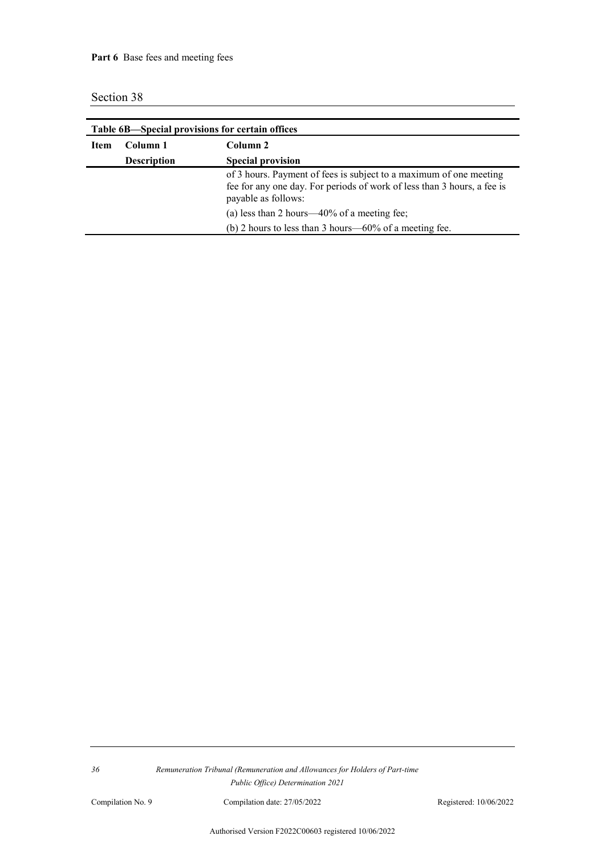| Table 6B-Special provisions for certain offices |                    |                                                                                                                                                                                                                                                                                   |  |
|-------------------------------------------------|--------------------|-----------------------------------------------------------------------------------------------------------------------------------------------------------------------------------------------------------------------------------------------------------------------------------|--|
| Item                                            | Column 1           | Column 2                                                                                                                                                                                                                                                                          |  |
|                                                 | <b>Description</b> | <b>Special provision</b>                                                                                                                                                                                                                                                          |  |
|                                                 |                    | of 3 hours. Payment of fees is subject to a maximum of one meeting<br>fee for any one day. For periods of work of less than 3 hours, a fee is<br>payable as follows:<br>(a) less than 2 hours—40% of a meeting fee;<br>(b) 2 hours to less than 3 hours— $60\%$ of a meeting fee. |  |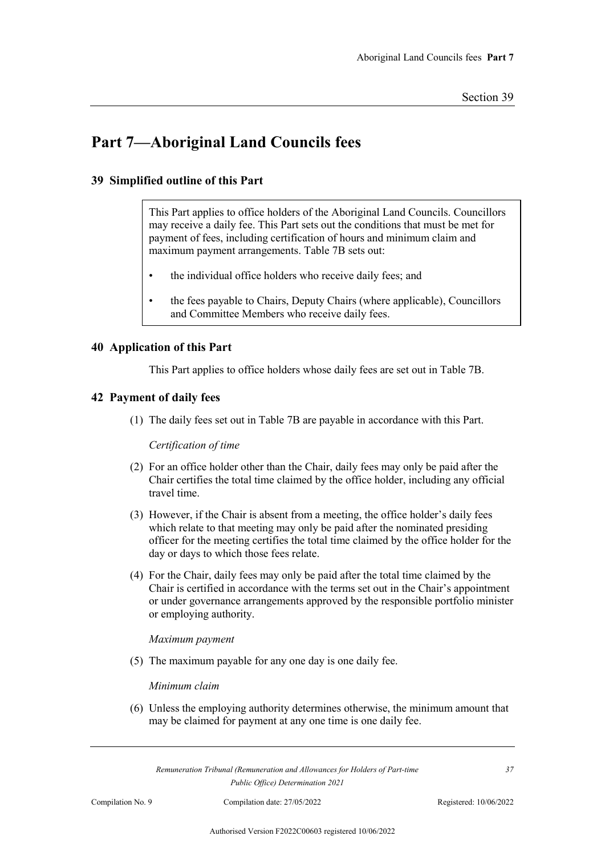## **Part 7—Aboriginal Land Councils fees**

#### **39 Simplified outline of this Part**

This Part applies to office holders of the Aboriginal Land Councils. Councillors may receive a daily fee. This Part sets out the conditions that must be met for payment of fees, including certification of hours and minimum claim and maximum payment arrangements. Table 7B sets out:

- the individual office holders who receive daily fees; and
- the fees payable to Chairs, Deputy Chairs (where applicable), Councillors and Committee Members who receive daily fees.

#### **40 Application of this Part**

This Part applies to office holders whose daily fees are set out in Table 7B.

#### **42 Payment of daily fees**

(1) The daily fees set out in Table 7B are payable in accordance with this Part.

*Certification of time*

- (2) For an office holder other than the Chair, daily fees may only be paid after the Chair certifies the total time claimed by the office holder, including any official travel time.
- (3) However, if the Chair is absent from a meeting, the office holder's daily fees which relate to that meeting may only be paid after the nominated presiding officer for the meeting certifies the total time claimed by the office holder for the day or days to which those fees relate.
- (4) For the Chair, daily fees may only be paid after the total time claimed by the Chair is certified in accordance with the terms set out in the Chair's appointment or under governance arrangements approved by the responsible portfolio minister or employing authority.

#### *Maximum payment*

(5) The maximum payable for any one day is one daily fee.

#### *Minimum claim*

(6) Unless the employing authority determines otherwise, the minimum amount that may be claimed for payment at any one time is one daily fee.

*Remuneration Tribunal (Remuneration and Allowances for Holders of Part-time Public Office) Determination 2021*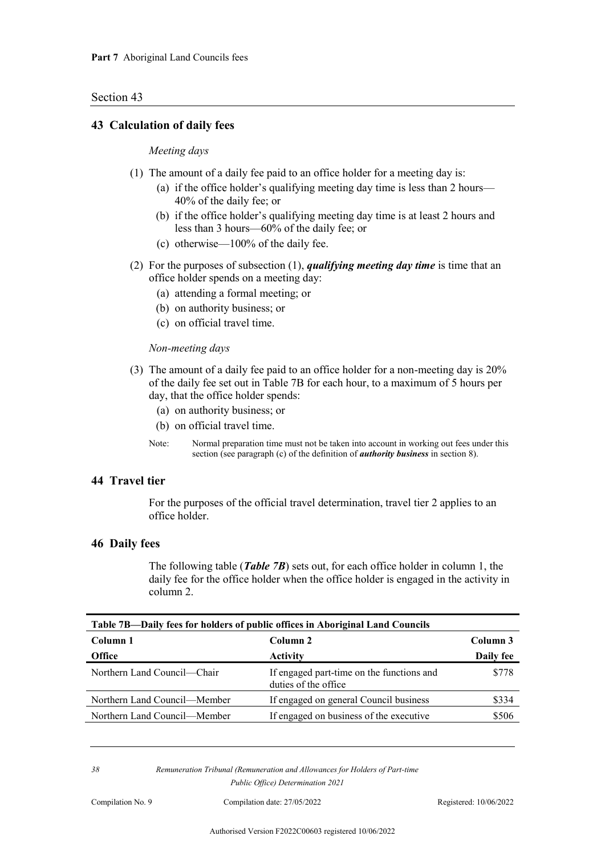#### **43 Calculation of daily fees**

#### *Meeting days*

- (1) The amount of a daily fee paid to an office holder for a meeting day is:
	- (a) if the office holder's qualifying meeting day time is less than 2 hours— 40% of the daily fee; or
	- (b) if the office holder's qualifying meeting day time is at least 2 hours and less than 3 hours—60% of the daily fee; or
	- (c) otherwise—100% of the daily fee.
- (2) For the purposes of subsection (1), *qualifying meeting day time* is time that an office holder spends on a meeting day:
	- (a) attending a formal meeting; or
	- (b) on authority business; or
	- (c) on official travel time.

#### *Non-meeting days*

- (3) The amount of a daily fee paid to an office holder for a non-meeting day is 20% of the daily fee set out in Table 7B for each hour, to a maximum of 5 hours per day, that the office holder spends:
	- (a) on authority business; or
	- (b) on official travel time.
	- Note: Normal preparation time must not be taken into account in working out fees under this section (see paragraph (c) of the definition of *authority business* in section 8).

#### **44 Travel tier**

For the purposes of the official travel determination, travel tier 2 applies to an office holder.

#### **46 Daily fees**

The following table (*Table 7B*) sets out, for each office holder in column 1, the daily fee for the office holder when the office holder is engaged in the activity in column 2.

| Table 7B—Daily fees for holders of public offices in Aboriginal Land Councils |                                                                    |           |
|-------------------------------------------------------------------------------|--------------------------------------------------------------------|-----------|
| Column 1                                                                      | Column 2                                                           | Column 3  |
| <b>Office</b>                                                                 | <b>Activity</b>                                                    | Daily fee |
| Northern Land Council—Chair                                                   | If engaged part-time on the functions and<br>duties of the office. | \$778     |
| Northern Land Council—Member                                                  | If engaged on general Council business                             | \$334     |
| Northern Land Council—Member                                                  | If engaged on business of the executive                            | \$506     |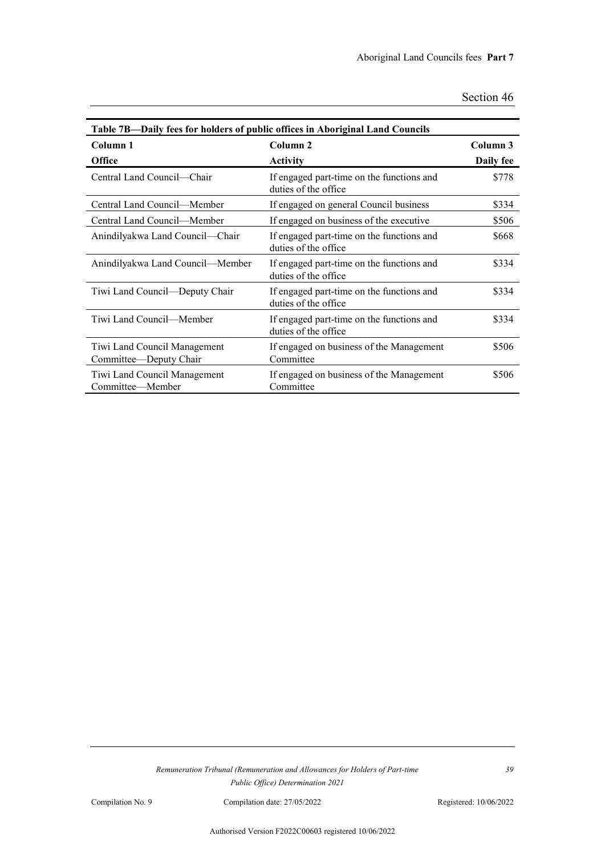| Table 7B—Daily fees for holders of public offices in Aboriginal Land Councils |                                                                   |                       |
|-------------------------------------------------------------------------------|-------------------------------------------------------------------|-----------------------|
| Column 1<br><b>Office</b>                                                     | Column <sub>2</sub><br><b>Activity</b>                            | Column 3<br>Daily fee |
| Central Land Council-Chair                                                    | If engaged part-time on the functions and<br>duties of the office | \$778                 |
| Central Land Council—Member                                                   | If engaged on general Council business                            | \$334                 |
| Central Land Council—Member                                                   | If engaged on business of the executive                           | \$506                 |
| Anindilyakwa Land Council-Chair                                               | If engaged part-time on the functions and<br>duties of the office | \$668                 |
| Anindilyakwa Land Council—Member                                              | If engaged part-time on the functions and<br>duties of the office | \$334                 |
| Tiwi Land Council—Deputy Chair                                                | If engaged part-time on the functions and<br>duties of the office | \$334                 |
| Tiwi Land Council—Member                                                      | If engaged part-time on the functions and<br>duties of the office | \$334                 |
| Tiwi Land Council Management<br>Committee-Deputy Chair                        | If engaged on business of the Management<br>Committee             | \$506                 |
| Tiwi Land Council Management<br>Committee—Member                              | If engaged on business of the Management<br>Committee             | \$506                 |

*Remuneration Tribunal (Remuneration and Allowances for Holders of Part-time Public Office) Determination 2021*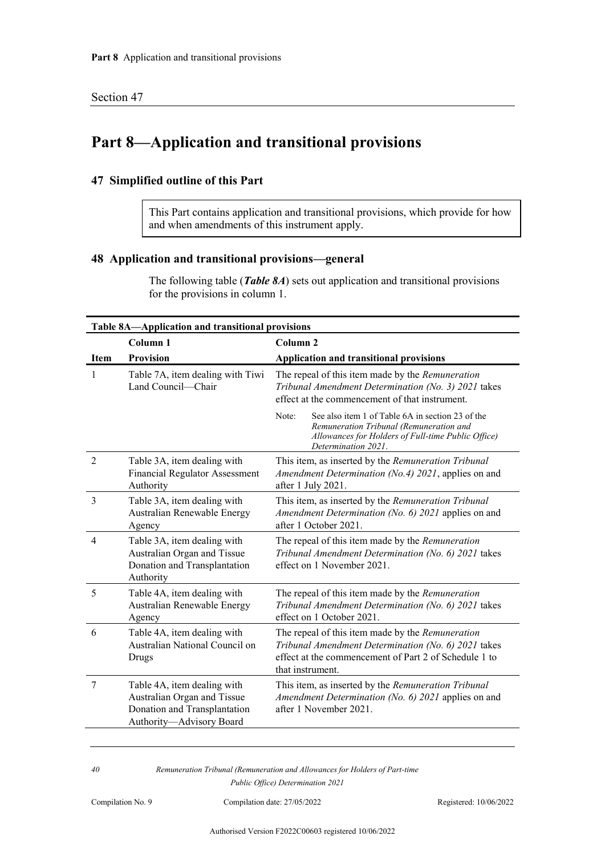## **Part 8—Application and transitional provisions**

#### **47 Simplified outline of this Part**

This Part contains application and transitional provisions, which provide for how and when amendments of this instrument apply.

#### **48 Application and transitional provisions—general**

The following table (*Table 8A*) sets out application and transitional provisions for the provisions in column 1.

| Table 8A-Application and transitional provisions |                                                                                                                        |                                                                                                                                                                                      |  |
|--------------------------------------------------|------------------------------------------------------------------------------------------------------------------------|--------------------------------------------------------------------------------------------------------------------------------------------------------------------------------------|--|
|                                                  | Column <sub>1</sub>                                                                                                    | Column <sub>2</sub>                                                                                                                                                                  |  |
| <b>Item</b>                                      | <b>Provision</b>                                                                                                       | <b>Application and transitional provisions</b>                                                                                                                                       |  |
| 1                                                | Table 7A, item dealing with Tiwi<br>Land Council—Chair                                                                 | The repeal of this item made by the Remuneration<br>Tribunal Amendment Determination (No. 3) 2021 takes<br>effect at the commencement of that instrument.                            |  |
|                                                  |                                                                                                                        | Note:<br>See also item 1 of Table 6A in section 23 of the<br>Remuneration Tribunal (Remuneration and<br>Allowances for Holders of Full-time Public Office)<br>Determination 2021.    |  |
| $\overline{2}$                                   | Table 3A, item dealing with<br><b>Financial Regulator Assessment</b><br>Authority                                      | This item, as inserted by the Remuneration Tribunal<br>Amendment Determination (No.4) 2021, applies on and<br>after 1 July 2021.                                                     |  |
| 3                                                | Table 3A, item dealing with<br>Australian Renewable Energy<br>Agency                                                   | This item, as inserted by the Remuneration Tribunal<br>Amendment Determination (No. 6) 2021 applies on and<br>after 1 October 2021.                                                  |  |
| 4                                                | Table 3A, item dealing with<br>Australian Organ and Tissue<br>Donation and Transplantation<br>Authority                | The repeal of this item made by the Remuneration<br>Tribunal Amendment Determination (No. 6) 2021 takes<br>effect on 1 November 2021.                                                |  |
| 5                                                | Table 4A, item dealing with<br>Australian Renewable Energy<br>Agency                                                   | The repeal of this item made by the Remuneration<br>Tribunal Amendment Determination (No. 6) 2021 takes<br>effect on 1 October 2021.                                                 |  |
| 6                                                | Table 4A, item dealing with<br>Australian National Council on<br>Drugs                                                 | The repeal of this item made by the Remuneration<br>Tribunal Amendment Determination (No. 6) 2021 takes<br>effect at the commencement of Part 2 of Schedule 1 to<br>that instrument. |  |
| 7                                                | Table 4A, item dealing with<br>Australian Organ and Tissue<br>Donation and Transplantation<br>Authority-Advisory Board | This item, as inserted by the Remuneration Tribunal<br>Amendment Determination (No. 6) 2021 applies on and<br>after 1 November 2021.                                                 |  |
|                                                  |                                                                                                                        |                                                                                                                                                                                      |  |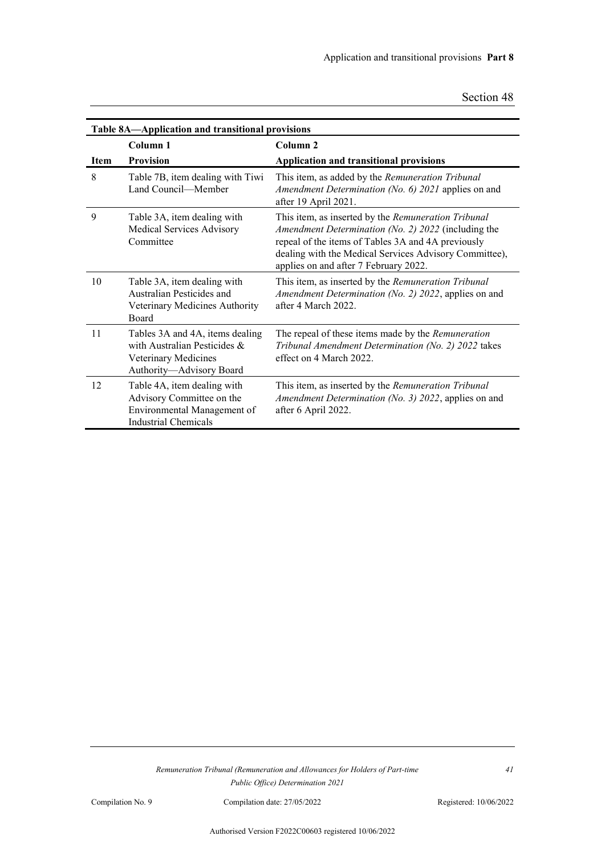| Table 8A—Application and transitional provisions |                                                                                                                        |                                                                                                                                                                                                                                                                     |
|--------------------------------------------------|------------------------------------------------------------------------------------------------------------------------|---------------------------------------------------------------------------------------------------------------------------------------------------------------------------------------------------------------------------------------------------------------------|
|                                                  | Column <sub>1</sub>                                                                                                    | Column <sub>2</sub>                                                                                                                                                                                                                                                 |
| <b>Item</b>                                      | <b>Provision</b>                                                                                                       | Application and transitional provisions                                                                                                                                                                                                                             |
| 8                                                | Table 7B, item dealing with Tiwi<br>Land Council—Member                                                                | This item, as added by the Remuneration Tribunal<br>Amendment Determination (No. 6) 2021 applies on and<br>after 19 April 2021.                                                                                                                                     |
| 9                                                | Table 3A, item dealing with<br>Medical Services Advisory<br>Committee                                                  | This item, as inserted by the Remuneration Tribunal<br>Amendment Determination (No. 2) 2022 (including the<br>repeal of the items of Tables 3A and 4A previously<br>dealing with the Medical Services Advisory Committee),<br>applies on and after 7 February 2022. |
| 10                                               | Table 3A, item dealing with<br>Australian Pesticides and<br>Veterinary Medicines Authority<br><b>Board</b>             | This item, as inserted by the Remuneration Tribunal<br>Amendment Determination (No. 2) 2022, applies on and<br>after 4 March 2022                                                                                                                                   |
| 11                                               | Tables 3A and 4A, items dealing<br>with Australian Pesticides $\&$<br>Veterinary Medicines<br>Authority-Advisory Board | The repeal of these items made by the Remuneration<br>Tribunal Amendment Determination (No. 2) 2022 takes<br>effect on 4 March 2022                                                                                                                                 |
| 12                                               | Table 4A, item dealing with<br>Advisory Committee on the<br>Environmental Management of<br><b>Industrial Chemicals</b> | This item, as inserted by the Remuneration Tribunal<br>Amendment Determination (No. 3) 2022, applies on and<br>after 6 April 2022.                                                                                                                                  |

Compilation No. 9 Compilation date: 27/05/2022 Registered: 10/06/2022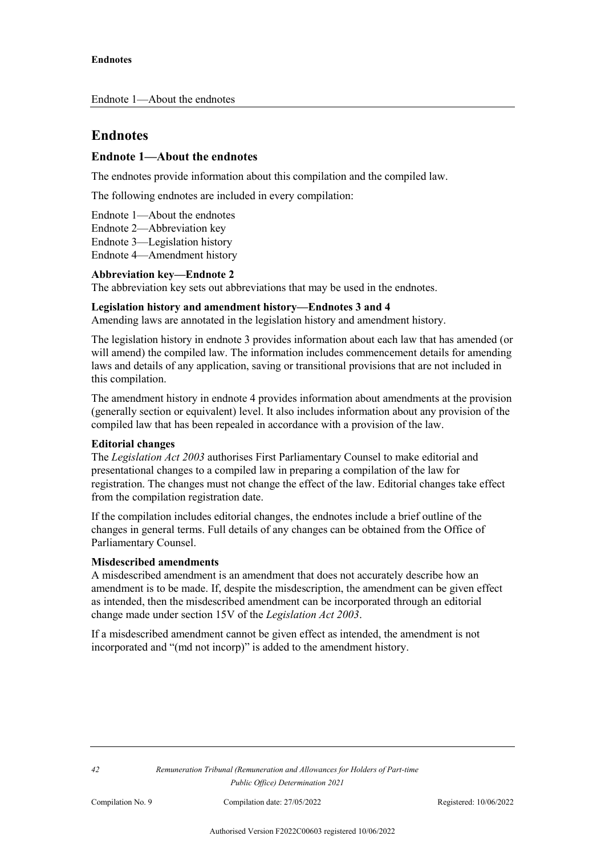## **Endnotes**

#### **Endnote 1—About the endnotes**

The endnotes provide information about this compilation and the compiled law.

The following endnotes are included in every compilation:

Endnote 1—About the endnotes Endnote 2—Abbreviation key Endnote 3—Legislation history Endnote 4—Amendment history

#### **Abbreviation key—Endnote 2**

The abbreviation key sets out abbreviations that may be used in the endnotes.

#### **Legislation history and amendment history—Endnotes 3 and 4**

Amending laws are annotated in the legislation history and amendment history.

The legislation history in endnote 3 provides information about each law that has amended (or will amend) the compiled law. The information includes commencement details for amending laws and details of any application, saving or transitional provisions that are not included in this compilation.

The amendment history in endnote 4 provides information about amendments at the provision (generally section or equivalent) level. It also includes information about any provision of the compiled law that has been repealed in accordance with a provision of the law.

#### **Editorial changes**

The *Legislation Act 2003* authorises First Parliamentary Counsel to make editorial and presentational changes to a compiled law in preparing a compilation of the law for registration. The changes must not change the effect of the law. Editorial changes take effect from the compilation registration date.

If the compilation includes editorial changes, the endnotes include a brief outline of the changes in general terms. Full details of any changes can be obtained from the Office of Parliamentary Counsel.

#### **Misdescribed amendments**

A misdescribed amendment is an amendment that does not accurately describe how an amendment is to be made. If, despite the misdescription, the amendment can be given effect as intended, then the misdescribed amendment can be incorporated through an editorial change made under section 15V of the *Legislation Act 2003*.

If a misdescribed amendment cannot be given effect as intended, the amendment is not incorporated and "(md not incorp)" is added to the amendment history.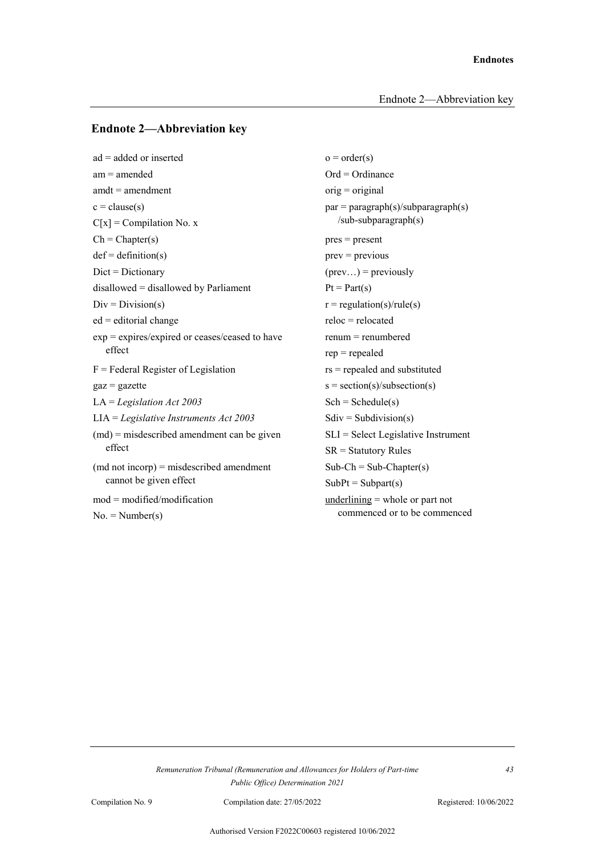#### **Endnote 2—Abbreviation key**

 $ad = added \text{ or inserted}$   $o = order(s)$  $am = \text{amended}$   $Ord = \text{Ord}$  $amdt = amendment$  orig = original  $c = \text{clause}(s)$  par  $= \text{paragnph}(s)/\text{subparagnph}(s)$  $C[x] = Compilation No. x$  /sub-subparagraph(s)  $Ch = Chapter(s)$  pres = present  $def = definition(s)$  prev = previous  $Dict = Dictionary$  (prev...) = previously disallowed = disallowed by Parliament  $Pt = Part(s)$  $Div = Division(s)$   $r = regulation(s)/rule(s)$  $ed =$  editorial change reloc = relocated  $exp = expires/expired$  or ceases/ceased to have renum = renumbered effect rep = repealed  $F =$  Federal Register of Legislation rs = repealed and substituted  $gaz = gazette$  s = section(s)/subsection(s) LA = *Legislation Act 2003* Sch = Schedule(s) LIA = *Legislative Instruments Act 2003* Sdiv = Subdivision(s) (md) = misdescribed amendment can be given SLI = Select Legislative Instrument effect SR = Statutory Rules  $(\text{md not incorpor}) = \text{misdescribed amendment}$  Sub-Ch = Sub-Chapter(s) cannot be given effect  $SubPt = Subpart(s)$ mod = modified/modification underlining = whole or part not  $No. = Number(s)$  commenced or to be commenced

#### *Remuneration Tribunal (Remuneration and Allowances for Holders of Part-time Public Office) Determination 2021*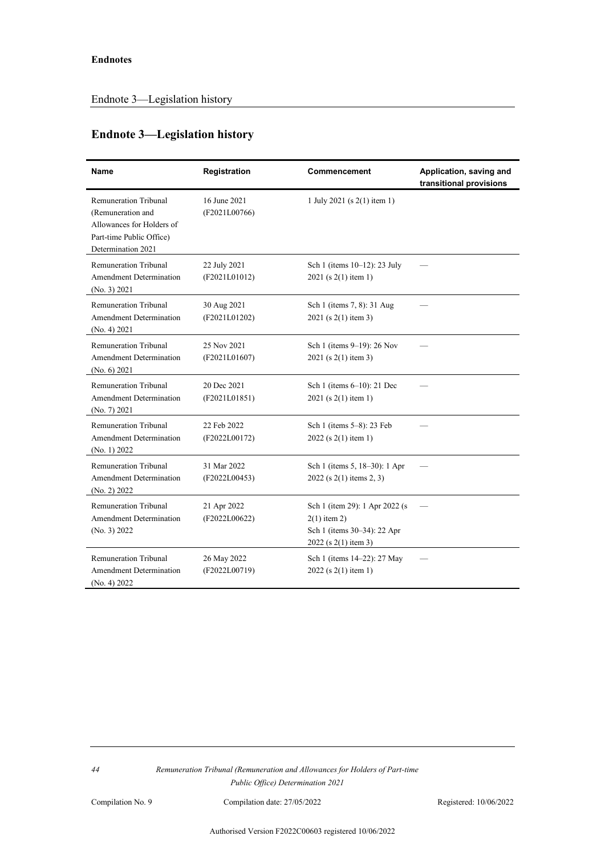## **Endnote 3—Legislation history**

| Name                                                                                                                             | Registration                  | Commencement                                                                                             | Application, saving and<br>transitional provisions |
|----------------------------------------------------------------------------------------------------------------------------------|-------------------------------|----------------------------------------------------------------------------------------------------------|----------------------------------------------------|
| <b>Remuneration Tribunal</b><br>(Remuneration and<br>Allowances for Holders of<br>Part-time Public Office)<br>Determination 2021 | 16 June 2021<br>(F2021L00766) | 1 July 2021 (s $2(1)$ item 1)                                                                            |                                                    |
| Remuneration Tribunal<br><b>Amendment Determination</b><br>(No. 3) 2021                                                          | 22 July 2021<br>(F2021L01012) | Sch 1 (items 10-12): 23 July<br>2021 (s 2(1) item 1)                                                     |                                                    |
| Remuneration Tribunal<br><b>Amendment Determination</b><br>(No. 4) 2021                                                          | 30 Aug 2021<br>(F2021L01202)  | Sch 1 (items 7, 8): 31 Aug<br>2021 (s 2(1) item 3)                                                       |                                                    |
| Remuneration Tribunal<br><b>Amendment Determination</b><br>(No. 6) 2021                                                          | 25 Nov 2021<br>(F2021L01607)  | Sch 1 (items 9-19): 26 Nov<br>2021 (s 2(1) item 3)                                                       |                                                    |
| Remuneration Tribunal<br><b>Amendment Determination</b><br>(No. 7) 2021                                                          | 20 Dec 2021<br>(F2021L01851)  | Sch 1 (items 6-10): 21 Dec<br>2021 (s 2(1) item 1)                                                       |                                                    |
| Remuneration Tribunal<br>Amendment Determination<br>(No. 1) 2022                                                                 | 22 Feb 2022<br>(F2022L00172)  | Sch 1 (items 5-8): 23 Feb<br>2022 (s 2(1) item 1)                                                        |                                                    |
| Remuneration Tribunal<br><b>Amendment Determination</b><br>(No. 2) 2022                                                          | 31 Mar 2022<br>(F2022L00453)  | Sch 1 (items 5, 18–30): 1 Apr<br>$2022$ (s 2(1) items 2, 3)                                              |                                                    |
| Remuneration Tribunal<br>Amendment Determination<br>(No. 3) 2022                                                                 | 21 Apr 2022<br>(F2022L00622)  | Sch 1 (item 29): 1 Apr 2022 (s)<br>$2(1)$ item 2)<br>Sch 1 (items 30-34): 22 Apr<br>2022 (s 2(1) item 3) |                                                    |
| Remuneration Tribunal<br><b>Amendment Determination</b><br>(No. 4) 2022                                                          | 26 May 2022<br>(F2022L00719)  | Sch 1 (items 14–22): 27 May<br>2022 (s 2(1) item 1)                                                      |                                                    |